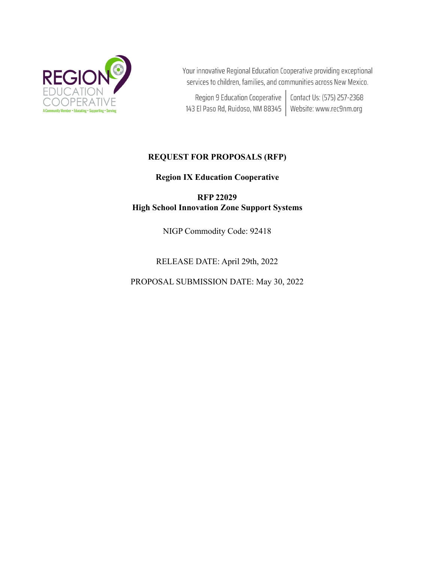

Your innovative Regional Education Cooperative providing exceptional services to children, families, and communities across New Mexico.

Region 9 Education Cooperative | Contact Us: (575) 257-2368 143 El Paso Rd, Ruidoso, NM 88345 | Website: www.rec9nm.org

## **REQUEST FOR PROPOSALS (RFP)**

**Region IX Education Cooperative**

**RFP 22029 High School Innovation Zone Support Systems**

NIGP Commodity Code: 92418

RELEASE DATE: April 29th, 2022

PROPOSAL SUBMISSION DATE: May 30, 2022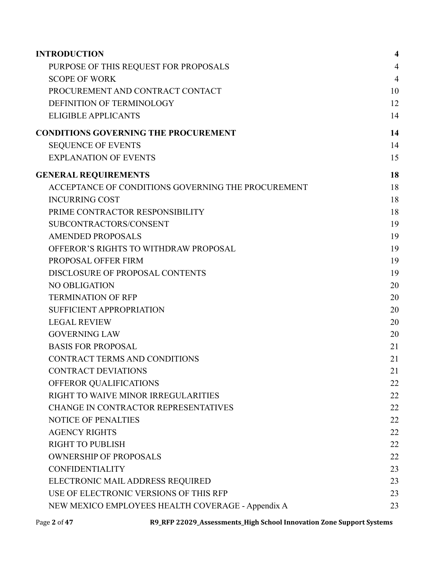| <b>INTRODUCTION</b>                                | $\overline{\mathbf{4}}$ |
|----------------------------------------------------|-------------------------|
| PURPOSE OF THIS REQUEST FOR PROPOSALS              | $\overline{4}$          |
| <b>SCOPE OF WORK</b>                               | $\overline{4}$          |
| PROCUREMENT AND CONTRACT CONTACT                   | 10                      |
| DEFINITION OF TERMINOLOGY                          | 12                      |
| <b>ELIGIBLE APPLICANTS</b>                         | 14                      |
| <b>CONDITIONS GOVERNING THE PROCUREMENT</b>        | 14                      |
| <b>SEQUENCE OF EVENTS</b>                          | 14                      |
| <b>EXPLANATION OF EVENTS</b>                       | 15                      |
| <b>GENERAL REQUIREMENTS</b>                        | 18                      |
| ACCEPTANCE OF CONDITIONS GOVERNING THE PROCUREMENT | 18                      |
| <b>INCURRING COST</b>                              | 18                      |
| PRIME CONTRACTOR RESPONSIBILITY                    | 18                      |
| SUBCONTRACTORS/CONSENT                             | 19                      |
| <b>AMENDED PROPOSALS</b>                           | 19                      |
| OFFEROR'S RIGHTS TO WITHDRAW PROPOSAL              | 19                      |
| PROPOSAL OFFER FIRM                                | 19                      |
| DISCLOSURE OF PROPOSAL CONTENTS                    | 19                      |
| <b>NO OBLIGATION</b>                               | 20                      |
| <b>TERMINATION OF RFP</b>                          | 20                      |
| <b>SUFFICIENT APPROPRIATION</b>                    | 20                      |
| <b>LEGAL REVIEW</b>                                | 20                      |
| <b>GOVERNING LAW</b>                               | 20                      |
| <b>BASIS FOR PROPOSAL</b>                          | 21                      |
| <b>CONTRACT TERMS AND CONDITIONS</b>               | 21                      |
| <b>CONTRACT DEVIATIONS</b>                         | 21                      |
| OFFEROR QUALIFICATIONS                             | 22                      |
| RIGHT TO WAIVE MINOR IRREGULARITIES                | 22                      |
| CHANGE IN CONTRACTOR REPRESENTATIVES               | 22                      |
| <b>NOTICE OF PENALTIES</b>                         | 22                      |
| <b>AGENCY RIGHTS</b>                               | 22                      |
| <b>RIGHT TO PUBLISH</b>                            | 22                      |
| <b>OWNERSHIP OF PROPOSALS</b>                      | 22                      |
| <b>CONFIDENTIALITY</b>                             | 23                      |
| ELECTRONIC MAIL ADDRESS REQUIRED                   | 23                      |
| USE OF ELECTRONIC VERSIONS OF THIS RFP             | 23                      |
| NEW MEXICO EMPLOYEES HEALTH COVERAGE - Appendix A  | 23                      |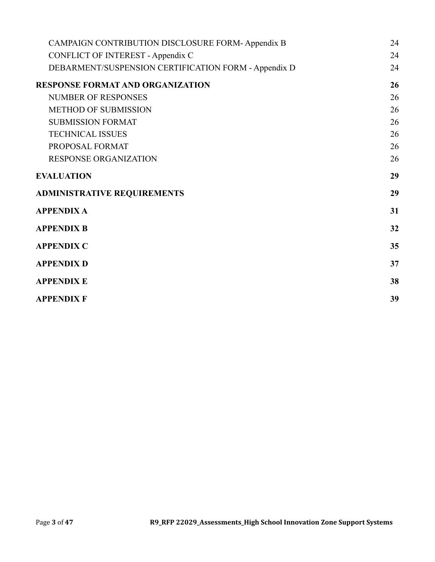| CAMPAIGN CONTRIBUTION DISCLOSURE FORM-Appendix B     | 24 |
|------------------------------------------------------|----|
| <b>CONFLICT OF INTEREST - Appendix C</b>             | 24 |
| DEBARMENT/SUSPENSION CERTIFICATION FORM - Appendix D | 24 |
| <b>RESPONSE FORMAT AND ORGANIZATION</b>              | 26 |
| <b>NUMBER OF RESPONSES</b>                           | 26 |
| <b>METHOD OF SUBMISSION</b>                          | 26 |
| <b>SUBMISSION FORMAT</b>                             | 26 |
| <b>TECHNICAL ISSUES</b>                              | 26 |
| PROPOSAL FORMAT                                      | 26 |
| <b>RESPONSE ORGANIZATION</b>                         | 26 |
| <b>EVALUATION</b>                                    | 29 |
| <b>ADMINISTRATIVE REQUIREMENTS</b>                   | 29 |
| <b>APPENDIX A</b>                                    | 31 |
| <b>APPENDIX B</b>                                    | 32 |
| <b>APPENDIX C</b>                                    | 35 |
| <b>APPENDIX D</b>                                    | 37 |
| <b>APPENDIX E</b>                                    | 38 |
| <b>APPENDIX F</b>                                    | 39 |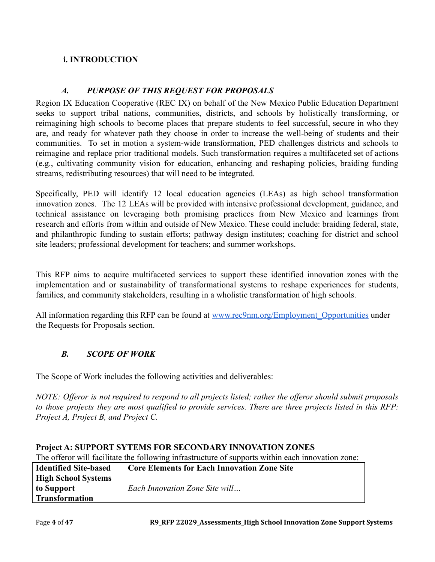## <span id="page-3-0"></span>**i. INTRODUCTION**

## *A. PURPOSE OF THIS REQUEST FOR PROPOSALS*

<span id="page-3-1"></span>Region IX Education Cooperative (REC IX) on behalf of the New Mexico Public Education Department seeks to support tribal nations, communities, districts, and schools by holistically transforming, or reimagining high schools to become places that prepare students to feel successful, secure in who they are, and ready for whatever path they choose in order to increase the well-being of students and their communities. To set in motion a system-wide transformation, PED challenges districts and schools to reimagine and replace prior traditional models. Such transformation requires a multifaceted set of actions (e.g., cultivating community vision for education, enhancing and reshaping policies, braiding funding streams, redistributing resources) that will need to be integrated.

Specifically, PED will identify 12 local education agencies (LEAs) as high school transformation innovation zones. The 12 LEAs will be provided with intensive professional development, guidance, and technical assistance on leveraging both promising practices from New Mexico and learnings from research and efforts from within and outside of New Mexico. These could include: braiding federal, state, and philanthropic funding to sustain efforts; pathway design institutes; coaching for district and school site leaders; professional development for teachers; and summer workshops.

This RFP aims to acquire multifaceted services to support these identified innovation zones with the implementation and or sustainability of transformational systems to reshape experiences for students, families, and community stakeholders, resulting in a wholistic transformation of high schools.

All information regarding this RFP can be found at [www.rec9nm.org/Employment\\_Opportunities](http://www.rec9nm.org/Employment_Opportunities) under the Requests for Proposals section.

## <span id="page-3-2"></span>*B. SCOPE OF WORK*

The Scope of Work includes the following activities and deliverables:

NOTE: Offeror is not required to respond to all projects listed; rather the offeror should submit proposals to those projects they are most qualified to provide services. There are three projects listed in this RFP: *Project A, Project B, and Project C.*

| The offeror will facilitate the following infrastructure of supports within each innovation zone: |                                                    |  |  |
|---------------------------------------------------------------------------------------------------|----------------------------------------------------|--|--|
| <b>Identified Site-based</b>                                                                      | <b>Core Elements for Each Innovation Zone Site</b> |  |  |
| <b>High School Systems</b>                                                                        |                                                    |  |  |
| to Support                                                                                        | Each Innovation Zone Site will                     |  |  |
| <b>Transformation</b>                                                                             |                                                    |  |  |

### **Project A: SUPPORT SYTEMS FOR SECONDARY INNOVATION ZONES**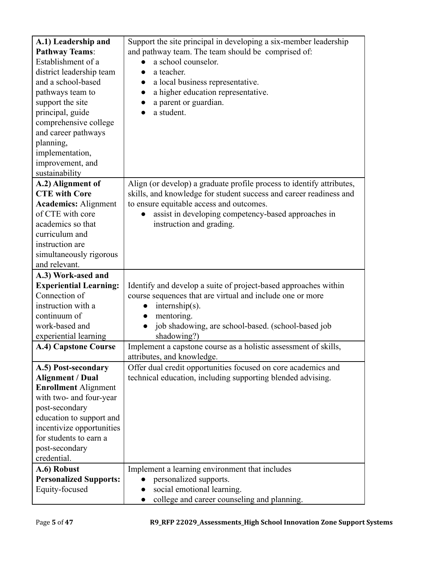| A.1) Leadership and           | Support the site principal in developing a six-member leadership          |
|-------------------------------|---------------------------------------------------------------------------|
| <b>Pathway Teams:</b>         | and pathway team. The team should be comprised of:                        |
| Establishment of a            | a school counselor.                                                       |
| district leadership team      | a teacher.<br>$\bullet$                                                   |
| and a school-based            | a local business representative.                                          |
| pathways team to              | a higher education representative.                                        |
| support the site              | a parent or guardian.                                                     |
| principal, guide              | a student.                                                                |
| comprehensive college         |                                                                           |
| and career pathways           |                                                                           |
| planning,                     |                                                                           |
| implementation,               |                                                                           |
| improvement, and              |                                                                           |
| sustainability                |                                                                           |
| A.2) Alignment of             | Align (or develop) a graduate profile process to identify attributes,     |
| <b>CTE</b> with Core          | skills, and knowledge for student success and career readiness and        |
| <b>Academics: Alignment</b>   | to ensure equitable access and outcomes.                                  |
| of CTE with core              | assist in developing competency-based approaches in                       |
| academics so that             | instruction and grading.                                                  |
| curriculum and                |                                                                           |
| instruction are               |                                                                           |
| simultaneously rigorous       |                                                                           |
| and relevant.                 |                                                                           |
|                               |                                                                           |
|                               |                                                                           |
| A.3) Work-ased and            |                                                                           |
| <b>Experiential Learning:</b> | Identify and develop a suite of project-based approaches within           |
| Connection of                 | course sequences that are virtual and include one or more                 |
| instruction with a            | $internship(s)$ .<br>$\bullet$                                            |
| continuum of                  | mentoring.<br>$\bullet$                                                   |
| work-based and                | job shadowing, are school-based. (school-based job                        |
| experiential learning         | shadowing?)                                                               |
| A.4) Capstone Course          | Implement a capstone course as a holistic assessment of skills,           |
|                               | attributes, and knowledge.                                                |
| A.5) Post-secondary           | Offer dual credit opportunities focused on core academics and             |
| <b>Alignment / Dual</b>       | technical education, including supporting blended advising.               |
| <b>Enrollment Alignment</b>   |                                                                           |
| with two- and four-year       |                                                                           |
| post-secondary                |                                                                           |
| education to support and      |                                                                           |
| incentivize opportunities     |                                                                           |
| for students to earn a        |                                                                           |
| post-secondary                |                                                                           |
| credential.                   |                                                                           |
| A.6) Robust                   | Implement a learning environment that includes                            |
| <b>Personalized Supports:</b> | personalized supports.                                                    |
| Equity-focused                | social emotional learning.<br>college and career counseling and planning. |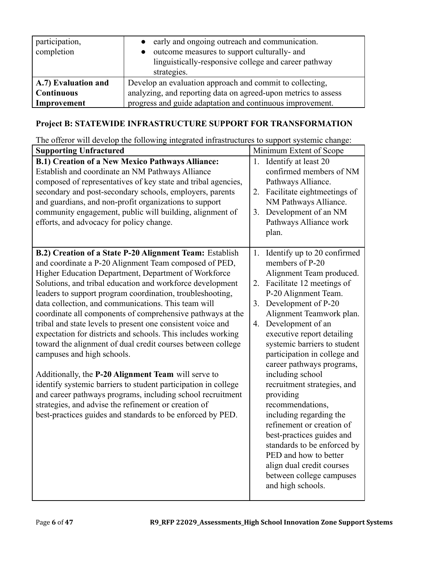| participation,<br>completion | early and ongoing outreach and communication.<br>outcome measures to support culturally- and<br>linguistically-responsive college and career pathway<br>strategies. |  |
|------------------------------|---------------------------------------------------------------------------------------------------------------------------------------------------------------------|--|
| A.7) Evaluation and          | Develop an evaluation approach and commit to collecting,                                                                                                            |  |
| Continuous                   | analyzing, and reporting data on agreed-upon metrics to assess                                                                                                      |  |
| Improvement                  | progress and guide adaptation and continuous improvement.                                                                                                           |  |

# **Project B: STATEWIDE INFRASTRUCTURE SUPPORT FOR TRANSFORMATION**

The offeror will develop the following integrated infrastructures to support systemic change:

| <b>Supporting Unfractured</b>                                                                                                                                                                                                                                                                                                                                                                                                                                                                                                                                                                                                                                                                                                                                                                                                                                                                                                                                    | Minimum Extent of Scope                                                                                                                                                                                                                                                                                                                                                                                                                                                                                                                                                                                                                                                |
|------------------------------------------------------------------------------------------------------------------------------------------------------------------------------------------------------------------------------------------------------------------------------------------------------------------------------------------------------------------------------------------------------------------------------------------------------------------------------------------------------------------------------------------------------------------------------------------------------------------------------------------------------------------------------------------------------------------------------------------------------------------------------------------------------------------------------------------------------------------------------------------------------------------------------------------------------------------|------------------------------------------------------------------------------------------------------------------------------------------------------------------------------------------------------------------------------------------------------------------------------------------------------------------------------------------------------------------------------------------------------------------------------------------------------------------------------------------------------------------------------------------------------------------------------------------------------------------------------------------------------------------------|
| <b>B.1) Creation of a New Mexico Pathways Alliance:</b><br>Establish and coordinate an NM Pathways Alliance<br>composed of representatives of key state and tribal agencies,<br>secondary and post-secondary schools, employers, parents<br>and guardians, and non-profit organizations to support<br>community engagement, public will building, alignment of<br>efforts, and advocacy for policy change.                                                                                                                                                                                                                                                                                                                                                                                                                                                                                                                                                       | 1. Identify at least 20<br>confirmed members of NM<br>Pathways Alliance.<br>Facilitate eightmeetings of<br>2.<br>NM Pathways Alliance.<br>Development of an NM<br>3.<br>Pathways Alliance work<br>plan.                                                                                                                                                                                                                                                                                                                                                                                                                                                                |
| B.2) Creation of a State P-20 Alignment Team: Establish<br>and coordinate a P-20 Alignment Team composed of PED,<br>Higher Education Department, Department of Workforce<br>Solutions, and tribal education and workforce development<br>leaders to support program coordination, troubleshooting,<br>data collection, and communications. This team will<br>coordinate all components of comprehensive pathways at the<br>tribal and state levels to present one consistent voice and<br>expectation for districts and schools. This includes working<br>toward the alignment of dual credit courses between college<br>campuses and high schools.<br>Additionally, the P-20 Alignment Team will serve to<br>identify systemic barriers to student participation in college<br>and career pathways programs, including school recruitment<br>strategies, and advise the refinement or creation of<br>best-practices guides and standards to be enforced by PED. | Identify up to 20 confirmed<br>1.<br>members of P-20<br>Alignment Team produced.<br>2. Facilitate 12 meetings of<br>P-20 Alignment Team.<br>Development of P-20<br>3.<br>Alignment Teamwork plan.<br>Development of an<br>4.<br>executive report detailing<br>systemic barriers to student<br>participation in college and<br>career pathways programs,<br>including school<br>recruitment strategies, and<br>providing<br>recommendations,<br>including regarding the<br>refinement or creation of<br>best-practices guides and<br>standards to be enforced by<br>PED and how to better<br>align dual credit courses<br>between college campuses<br>and high schools. |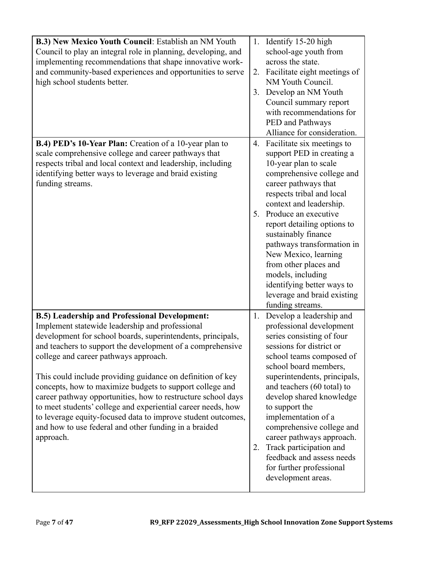| B.3) New Mexico Youth Council: Establish an NM Youth<br>Council to play an integral role in planning, developing, and<br>implementing recommendations that shape innovative work-<br>and community-based experiences and opportunities to serve<br>high school students better.                                                                                                                                                                                                                                                                                                                                                                                               | 2.<br>3. | 1. Identify 15-20 high<br>school-age youth from<br>across the state.<br>Facilitate eight meetings of<br>NM Youth Council.<br>Develop an NM Youth<br>Council summary report<br>with recommendations for<br>PED and Pathways<br>Alliance for consideration.                                                                                                                                                                                                                 |
|-------------------------------------------------------------------------------------------------------------------------------------------------------------------------------------------------------------------------------------------------------------------------------------------------------------------------------------------------------------------------------------------------------------------------------------------------------------------------------------------------------------------------------------------------------------------------------------------------------------------------------------------------------------------------------|----------|---------------------------------------------------------------------------------------------------------------------------------------------------------------------------------------------------------------------------------------------------------------------------------------------------------------------------------------------------------------------------------------------------------------------------------------------------------------------------|
| B.4) PED's 10-Year Plan: Creation of a 10-year plan to<br>scale comprehensive college and career pathways that<br>respects tribal and local context and leadership, including<br>identifying better ways to leverage and braid existing<br>funding streams.                                                                                                                                                                                                                                                                                                                                                                                                                   | 4.       | Facilitate six meetings to<br>support PED in creating a<br>10-year plan to scale<br>comprehensive college and<br>career pathways that<br>respects tribal and local<br>context and leadership.<br>5. Produce an executive<br>report detailing options to<br>sustainably finance<br>pathways transformation in<br>New Mexico, learning<br>from other places and<br>models, including<br>identifying better ways to<br>leverage and braid existing<br>funding streams.       |
| <b>B.5)</b> Leadership and Professional Development:<br>Implement statewide leadership and professional<br>development for school boards, superintendents, principals,<br>and teachers to support the development of a comprehensive<br>college and career pathways approach.<br>This could include providing guidance on definition of key<br>concepts, how to maximize budgets to support college and<br>career pathway opportunities, how to restructure school days<br>to meet students' college and experiential career needs, how<br>to leverage equity-focused data to improve student outcomes,<br>and how to use federal and other funding in a braided<br>approach. | 1.<br>2. | Develop a leadership and<br>professional development<br>series consisting of four<br>sessions for district or<br>school teams composed of<br>school board members,<br>superintendents, principals,<br>and teachers (60 total) to<br>develop shared knowledge<br>to support the<br>implementation of a<br>comprehensive college and<br>career pathways approach.<br>Track participation and<br>feedback and assess needs<br>for further professional<br>development areas. |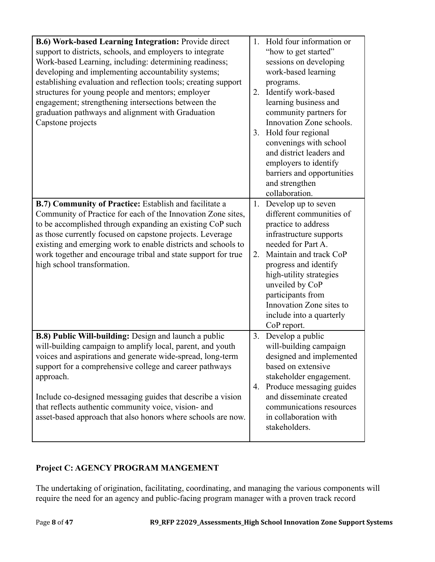| B.6) Work-based Learning Integration: Provide direct<br>support to districts, schools, and employers to integrate<br>Work-based Learning, including: determining readiness;<br>developing and implementing accountability systems;<br>establishing evaluation and reflection tools; creating support<br>structures for young people and mentors; employer<br>engagement; strengthening intersections between the<br>graduation pathways and alignment with Graduation<br>Capstone projects | 1 <sub>1</sub><br>3. | Hold four information or<br>"how to get started"<br>sessions on developing<br>work-based learning<br>programs.<br>2. Identify work-based<br>learning business and<br>community partners for<br>Innovation Zone schools.<br>Hold four regional<br>convenings with school<br>and district leaders and<br>employers to identify<br>barriers and opportunities<br>and strengthen<br>collaboration. |
|--------------------------------------------------------------------------------------------------------------------------------------------------------------------------------------------------------------------------------------------------------------------------------------------------------------------------------------------------------------------------------------------------------------------------------------------------------------------------------------------|----------------------|------------------------------------------------------------------------------------------------------------------------------------------------------------------------------------------------------------------------------------------------------------------------------------------------------------------------------------------------------------------------------------------------|
| B.7) Community of Practice: Establish and facilitate a<br>Community of Practice for each of the Innovation Zone sites,<br>to be accomplished through expanding an existing CoP such<br>as those currently focused on capstone projects. Leverage<br>existing and emerging work to enable districts and schools to<br>work together and encourage tribal and state support for true<br>high school transformation.                                                                          | 1.<br>2.             | Develop up to seven<br>different communities of<br>practice to address<br>infrastructure supports<br>needed for Part A.<br>Maintain and track CoP<br>progress and identify<br>high-utility strategies<br>unveiled by CoP<br>participants from<br>Innovation Zone sites to<br>include into a quarterly<br>CoP report.                                                                           |
| B.8) Public Will-building: Design and launch a public<br>will-building campaign to amplify local, parent, and youth<br>voices and aspirations and generate wide-spread, long-term<br>support for a comprehensive college and career pathways<br>approach.<br>Include co-designed messaging guides that describe a vision<br>that reflects authentic community voice, vision- and<br>asset-based approach that also honors where schools are now.                                           | 3.<br>4.             | Develop a public<br>will-building campaign<br>designed and implemented<br>based on extensive<br>stakeholder engagement.<br>Produce messaging guides<br>and disseminate created<br>communications resources<br>in collaboration with<br>stakeholders.                                                                                                                                           |

# **Project C: AGENCY PROGRAM MANGEMENT**

The undertaking of origination, facilitating, coordinating, and managing the various components will require the need for an agency and public-facing program manager with a proven track record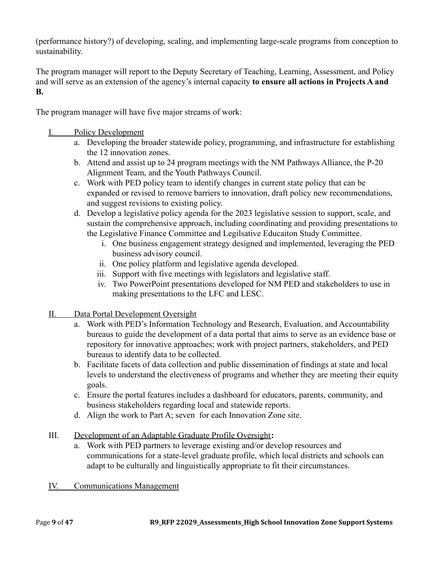(performance history?) of developing, scaling, and implementing large-scale programs from conception to sustainability.

The program manager will report to the Deputy Secretary of Teaching, Learning, Assessment, and Policy and will serve as an extension of the agency's internal capacity **to ensure all actions in Projects A and B.**

The program manager will have five major streams of work:

- I. Policy Development
	- a. Developing the broader statewide policy, programming, and infrastructure for establishing the 12 innovation zones.
	- b. Attend and assist up to 24 program meetings with the NM Pathways Alliance, the P-20 Alignment Team, and the Youth Pathways Council.
	- c. Work with PED policy team to identify changes in current state policy that can be expanded or revised to remove barriers to innovation, draft policy new recommendations, and suggest revisions to existing policy.
	- d. Develop a legislative policy agenda for the 2023 legislative session to support, scale, and sustain the comprehensive approach, including coordinating and providing presentations to the Legislative Finance Committee and Legilsative Educaiton Study Committee.
		- i. One business engagement strategy designed and implemented, leveraging the PED business advisory council.
		- ii. One policy platform and legislative agenda developed.
		- iii. Support with five meetings with legislators and legislative staff.
		- iv. Two PowerPoint presentations developed for NM PED and stakeholders to use in making presentations to the LFC and LESC.
- II. Data Portal Development Oversight
	- a. Work with PED's Information Technology and Research, Evaluation, and Accountability bureaus to guide the development of a data portal that aims to serve as an evidence base or repository for innovative approaches; work with project partners, stakeholders, and PED bureaus to identify data to be collected.
	- b. Facilitate facets of data collection and public dissemination of findings at state and local levels to understand the electiveness of programs and whether they are meeting their equity goals.
	- c. Ensure the portal features includes a dashboard for educators, parents, community, and business stakeholders regarding local and statewide reports.
	- d. Align the work to Part A; seven for each Innovation Zone site.
- III. Development of an Adaptable Graduate Profile Oversight**:**
	- a. Work with PED partners to leverage existing and/or develop resources and communications for a state-level graduate profile, which local districts and schools can adapt to be culturally and linguistically appropriate to fit their circumstances.
- IV. Communications Management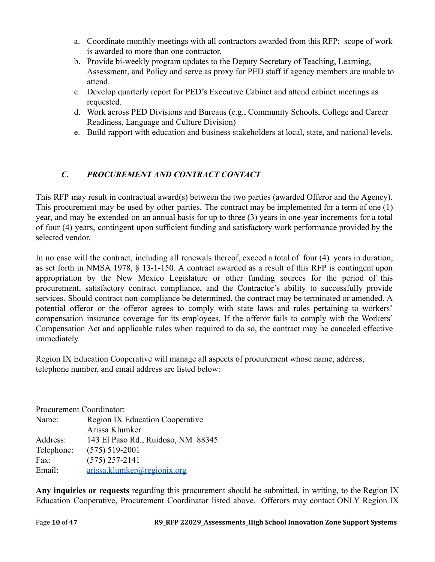- a. Coordinate monthly meetings with all contractors awarded from this RFP; scope of work is awarded to more than one contractor.
- b. Provide bi-weekly program updates to the Deputy Secretary of Teaching, Learning, Assessment, and Policy and serve as proxy for PED staff if agency members are unable to attend.
- c. Develop quarterly report for PED's Executive Cabinet and attend cabinet meetings as requested.
- d. Work across PED Divisions and Bureaus (e.g., Community Schools, College and Career Readiness, Language and Culture Division)
- e. Build rapport with education and business stakeholders at local, state, and national levels.

# <span id="page-9-0"></span>*C. PROCUREMENT AND CONTRACT CONTACT*

This RFP may result in contractual award(s) between the two parties (awarded Offeror and the Agency). This procurement may be used by other parties. The contract may be implemented for a term of one (1) year, and may be extended on an annual basis for up to three (3) years in one-year increments for a total of four (4) years, contingent upon sufficient funding and satisfactory work performance provided by the selected vendor.

In no case will the contract, including all renewals thereof, exceed a total of four (4) years in duration, as set forth in NMSA 1978, § 13-1-150. A contract awarded as a result of this RFP is contingent upon appropriation by the New Mexico Legislature or other funding sources for the period of this procurement, satisfactory contract compliance, and the Contractor's ability to successfully provide services. Should contract non-compliance be determined, the contract may be terminated or amended. A potential offeror or the offeror agrees to comply with state laws and rules pertaining to workers' compensation insurance coverage for its employees. If the offeror fails to comply with the Workers' Compensation Act and applicable rules when required to do so, the contract may be canceled effective immediately.

Region IX Education Cooperative will manage all aspects of procurement whose name, address, telephone number, and email address are listed below:

Procurement Coordinator: Name: Region IX Education Cooperative Arissa Klumker Address: 143 El Paso Rd., Ruidoso, NM 88345 Telephone: (575) 519-2001 Fax: (575) 257-2141 Email: [arissa.klumker@regionix.org](mailto:arissa.klumker@regionix.org)

**Any inquiries or requests** regarding this procurement should be submitted, in writing, to the Region IX Education Cooperative, Procurement Coordinator listed above. Offerors may contact ONLY Region IX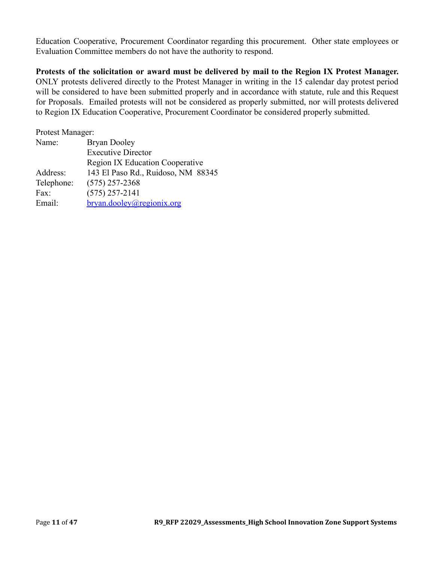Education Cooperative, Procurement Coordinator regarding this procurement. Other state employees or Evaluation Committee members do not have the authority to respond.

**Protests of the solicitation or award must be delivered by mail to the Region IX Protest Manager.** ONLY protests delivered directly to the Protest Manager in writing in the 15 calendar day protest period will be considered to have been submitted properly and in accordance with statute, rule and this Request for Proposals. Emailed protests will not be considered as properly submitted, nor will protests delivered to Region IX Education Cooperative, Procurement Coordinator be considered properly submitted.

Protest Manager: Name: Bryan Dooley Executive Director Region IX Education Cooperative Address: 143 El Paso Rd., Ruidoso, NM 88345 Telephone: (575) 257-2368 Fax: (575) 257-2141 Email: [bryan.dooley@regionix.org](mailto:gina.corliss@regionix.org)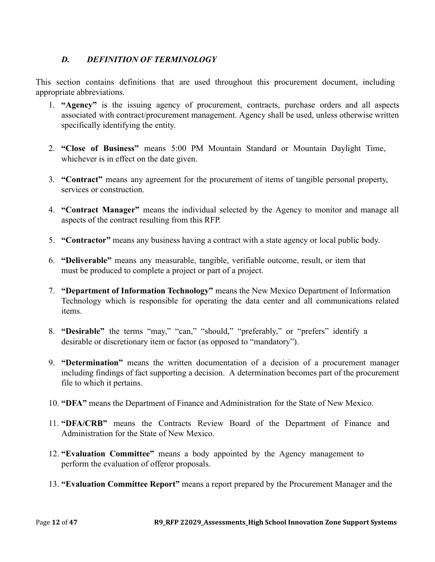## <span id="page-11-0"></span>*D. DEFINITION OF TERMINOLOGY*

This section contains definitions that are used throughout this procurement document, including appropriate abbreviations.

- 1. **"Agency"** is the issuing agency of procurement, contracts, purchase orders and all aspects associated with contract/procurement management. Agency shall be used, unless otherwise written specifically identifying the entity.
- 2. **"Close of Business"** means 5:00 PM Mountain Standard or Mountain Daylight Time, whichever is in effect on the date given.
- 3. **"Contract"** means any agreement for the procurement of items of tangible personal property, services or construction.
- 4. **"Contract Manager"** means the individual selected by the Agency to monitor and manage all aspects of the contract resulting from this RFP.
- 5. **"Contractor"** means any business having a contract with a state agency or local public body.
- 6. **"Deliverable"** means any measurable, tangible, verifiable outcome, result, or item that must be produced to complete a project or part of a project.
- 7. **"Department of Information Technology"** means the New Mexico Department of Information Technology which is responsible for operating the data center and all communications related items.
- 8. **"Desirable"** the terms "may," "can," "should," "preferably," or "prefers" identify a desirable or discretionary item or factor (as opposed to "mandatory").
- 9. **"Determination"** means the written documentation of a decision of a procurement manager including findings of fact supporting a decision. A determination becomes part of the procurement file to which it pertains.
- 10. **"DFA"** means the Department of Finance and Administration for the State of New Mexico.
- 11. **"DFA/CRB"** means the Contracts Review Board of the Department of Finance and Administration for the State of New Mexico.
- 12. **"Evaluation Committee"** means a body appointed by the Agency management to perform the evaluation of offeror proposals.
- 13. **"Evaluation Committee Report"** means a report prepared by the Procurement Manager and the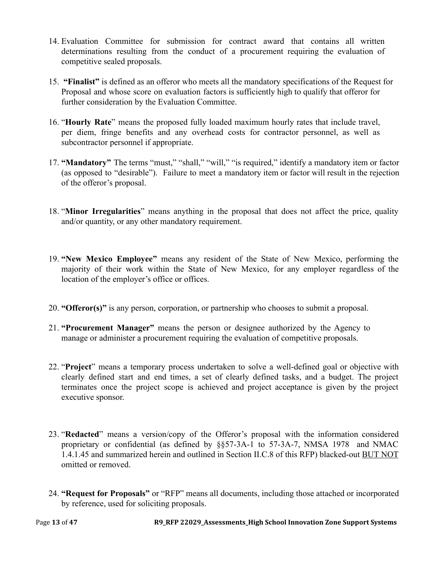- 14. Evaluation Committee for submission for contract award that contains all written determinations resulting from the conduct of a procurement requiring the evaluation of competitive sealed proposals.
- 15. **"Finalist"** is defined as an offeror who meets all the mandatory specifications of the Request for Proposal and whose score on evaluation factors is sufficiently high to qualify that offeror for further consideration by the Evaluation Committee.
- 16. "**Hourly Rate**" means the proposed fully loaded maximum hourly rates that include travel, per diem, fringe benefits and any overhead costs for contractor personnel, as well as subcontractor personnel if appropriate.
- 17. **"Mandatory"** The terms "must," "shall," "will," "is required," identify a mandatory item or factor (as opposed to "desirable"). Failure to meet a mandatory item or factor will result in the rejection of the offeror's proposal.
- 18. "**Minor Irregularities**" means anything in the proposal that does not affect the price, quality and/or quantity, or any other mandatory requirement.
- 19. **"New Mexico Employee"** means any resident of the State of New Mexico, performing the majority of their work within the State of New Mexico, for any employer regardless of the location of the employer's office or offices.
- 20. **"Offeror(s)"** is any person, corporation, or partnership who chooses to submit a proposal.
- 21. **"Procurement Manager"** means the person or designee authorized by the Agency to manage or administer a procurement requiring the evaluation of competitive proposals.
- 22. "**Project**" means a temporary process undertaken to solve a well-defined goal or objective with clearly defined start and end times, a set of clearly defined tasks, and a budget. The project terminates once the project scope is achieved and project acceptance is given by the project executive sponsor.
- 23. "**Redacted**" means a version/copy of the Offeror's proposal with the information considered proprietary or confidential (as defined by §§57-3A-1 to 57-3A-7, NMSA 1978 and NMAC 1.4.1.45 and summarized herein and outlined in Section II.C.8 of this RFP) blacked-out BUT NOT omitted or removed.
- 24. **"Request for Proposals"** or "RFP" means all documents, including those attached or incorporated by reference, used for soliciting proposals.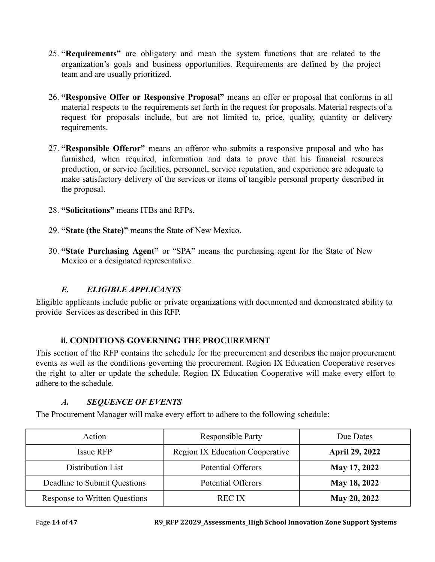- 25. **"Requirements"** are obligatory and mean the system functions that are related to the organization's goals and business opportunities. Requirements are defined by the project team and are usually prioritized.
- 26. **"Responsive Offer or Responsive Proposal"** means an offer or proposal that conforms in all material respects to the requirements set forth in the request for proposals. Material respects of a request for proposals include, but are not limited to, price, quality, quantity or delivery requirements.
- 27. **"Responsible Offeror"** means an offeror who submits a responsive proposal and who has furnished, when required, information and data to prove that his financial resources production, or service facilities, personnel, service reputation, and experience are adequate to make satisfactory delivery of the services or items of tangible personal property described in the proposal.
- 28. **"Solicitations"** means ITBs and RFPs.
- 29. **"State (the State)"** means the State of New Mexico.
- 30. **"State Purchasing Agent"** or "SPA" means the purchasing agent for the State of New Mexico or a designated representative.

## *E. ELIGIBLE APPLICANTS*

<span id="page-13-0"></span>Eligible applicants include public or private organizations with documented and demonstrated ability to provide Services as described in this RFP.

### **ii. CONDITIONS GOVERNING THE PROCUREMENT**

<span id="page-13-1"></span>This section of the RFP contains the schedule for the procurement and describes the major procurement events as well as the conditions governing the procurement. Region IX Education Cooperative reserves the right to alter or update the schedule. Region IX Education Cooperative will make every effort to adhere to the schedule.

## *A. SEQUENCE OF EVENTS*

<span id="page-13-2"></span>The Procurement Manager will make every effort to adhere to the following schedule:

| Action                        | <b>Responsible Party</b>               | Due Dates             |
|-------------------------------|----------------------------------------|-----------------------|
| Issue RFP                     | <b>Region IX Education Cooperative</b> | <b>April 29, 2022</b> |
| Distribution List             | <b>Potential Offerors</b>              | May 17, 2022          |
| Deadline to Submit Questions  | <b>Potential Offerors</b>              | May 18, 2022          |
| Response to Written Questions | <b>REC IX</b>                          | May 20, 2022          |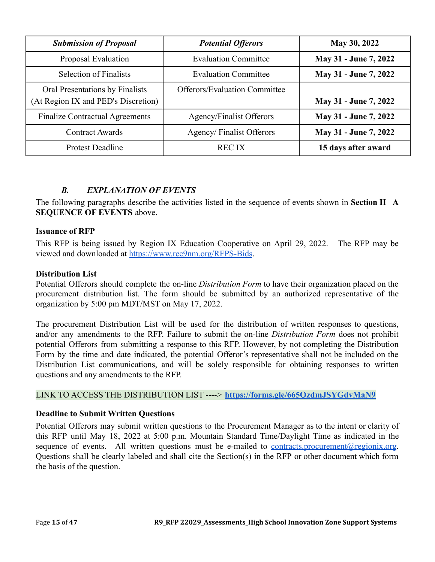| <b>Submission of Proposal</b>                                          | <b>Potential Offerors</b>            | May 30, 2022          |
|------------------------------------------------------------------------|--------------------------------------|-----------------------|
| Proposal Evaluation                                                    | <b>Evaluation Committee</b>          | May 31 - June 7, 2022 |
| <b>Selection of Finalists</b>                                          | <b>Evaluation Committee</b>          | May 31 - June 7, 2022 |
| Oral Presentations by Finalists<br>(At Region IX and PED's Discretion) | <b>Offerors/Evaluation Committee</b> | May 31 - June 7, 2022 |
| <b>Finalize Contractual Agreements</b>                                 | Agency/Finalist Offerors             | May 31 - June 7, 2022 |
| <b>Contract Awards</b>                                                 | Agency/Finalist Offerors             | May 31 - June 7, 2022 |
| <b>Protest Deadline</b>                                                | <b>REC IX</b>                        | 15 days after award   |

### *B. EXPLANATION OF EVENTS*

<span id="page-14-0"></span>The following paragraphs describe the activities listed in the sequence of events shown in **Section II** –**A SEQUENCE OF EVENTS** above.

#### **Issuance of RFP**

This RFP is being issued by Region IX Education Cooperative on April 29, 2022. The RFP may be viewed and downloaded at <https://www.rec9nm.org/RFPS-Bids>.

#### **Distribution List**

Potential Offerors should complete the on-line *Distribution Form* to have their organization placed on the procurement distribution list. The form should be submitted by an authorized representative of the organization by 5:00 pm MDT/MST on May 17, 2022.

The procurement Distribution List will be used for the distribution of written responses to questions, and/or any amendments to the RFP. Failure to submit the on-line *Distribution Form* does not prohibit potential Offerors from submitting a response to this RFP. However, by not completing the Distribution Form by the time and date indicated, the potential Offeror's representative shall not be included on the Distribution List communications, and will be solely responsible for obtaining responses to written questions and any amendments to the RFP.

#### LINK TO ACCESS THE DISTRIBUTION LIST ----> **<https://forms.gle/665QzdmJSYGdvMaN9>**

#### **Deadline to Submit Written Questions**

Potential Offerors may submit written questions to the Procurement Manager as to the intent or clarity of this RFP until May 18, 2022 at 5:00 p.m. Mountain Standard Time/Daylight Time as indicated in the sequence of events. All written questions must be e-mailed to <u>[contracts.procurement@regionix.org](mailto:contracts.procurement@regionix.org)</u>. Questions shall be clearly labeled and shall cite the Section(s) in the RFP or other document which form the basis of the question.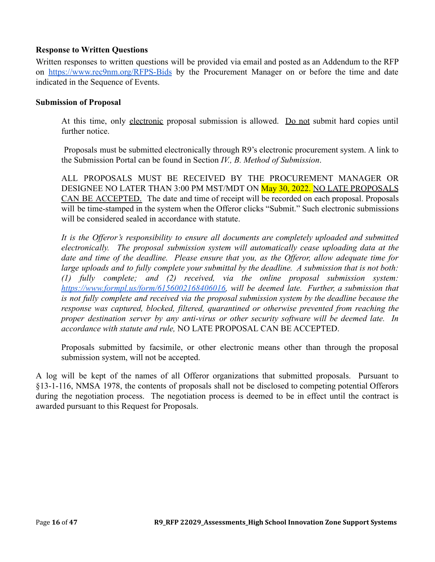#### **Response to Written Questions**

Written responses to written questions will be provided via email and posted as an Addendum to the RFP on <https://www.rec9nm.org/RFPS-Bids> by the Procurement Manager on or before the time and date indicated in the Sequence of Events.

#### **Submission of Proposal**

At this time, only electronic proposal submission is allowed. Do not submit hard copies until further notice.

Proposals must be submitted electronically through R9's electronic procurement system. A link to the Submission Portal can be found in Section *IV., B. Method of Submission*.

ALL PROPOSALS MUST BE RECEIVED BY THE PROCUREMENT MANAGER OR DESIGNEE NO LATER THAN 3:00 PM MST/MDT ON May 30, 2022. NO LATE PROPOSALS CAN BE ACCEPTED. The date and time of receipt will be recorded on each proposal. Proposals will be time-stamped in the system when the Offeror clicks "Submit." Such electronic submissions will be considered sealed in accordance with statute.

*It is the Offeror's responsibility to ensure all documents are completely uploaded and submitted electronically. The proposal submission system will automatically cease uploading data at the date and time of the deadline. Please ensure that you, as the Offeror, allow adequate time for large uploads and to fully complete your submittal by the deadline. A submission that is not both: (1) fully complete; and (2) received, via the online proposal submission system: [https://www.formpl.us/form/6156002168406016,](https://www.formpl.us/form/6156002168406016) will be deemed late. Further, a submission that is not fully complete and received via the proposal submission system by the deadline because the response was captured, blocked, filtered, quarantined or otherwise prevented from reaching the proper destination server by any anti-virus or other security software will be deemed late. In accordance with statute and rule,* NO LATE PROPOSAL CAN BE ACCEPTED.

Proposals submitted by facsimile, or other electronic means other than through the proposal submission system, will not be accepted.

A log will be kept of the names of all Offeror organizations that submitted proposals. Pursuant to §13-1-116, NMSA 1978, the contents of proposals shall not be disclosed to competing potential Offerors during the negotiation process. The negotiation process is deemed to be in effect until the contract is awarded pursuant to this Request for Proposals.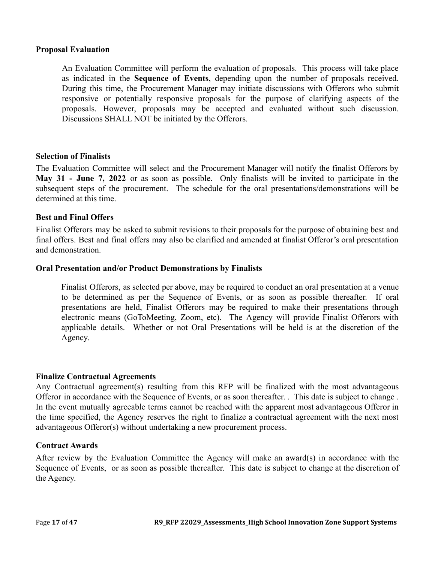#### **Proposal Evaluation**

An Evaluation Committee will perform the evaluation of proposals. This process will take place as indicated in the **Sequence of Events**, depending upon the number of proposals received. During this time, the Procurement Manager may initiate discussions with Offerors who submit responsive or potentially responsive proposals for the purpose of clarifying aspects of the proposals. However, proposals may be accepted and evaluated without such discussion. Discussions SHALL NOT be initiated by the Offerors.

#### **Selection of Finalists**

The Evaluation Committee will select and the Procurement Manager will notify the finalist Offerors by **May 31 - June 7, 2022** or as soon as possible. Only finalists will be invited to participate in the subsequent steps of the procurement. The schedule for the oral presentations/demonstrations will be determined at this time.

#### **Best and Final Offers**

Finalist Offerors may be asked to submit revisions to their proposals for the purpose of obtaining best and final offers. Best and final offers may also be clarified and amended at finalist Offeror's oral presentation and demonstration.

#### **Oral Presentation and/or Product Demonstrations by Finalists**

Finalist Offerors, as selected per above, may be required to conduct an oral presentation at a venue to be determined as per the Sequence of Events, or as soon as possible thereafter. If oral presentations are held, Finalist Offerors may be required to make their presentations through electronic means (GoToMeeting, Zoom, etc). The Agency will provide Finalist Offerors with applicable details. Whether or not Oral Presentations will be held is at the discretion of the Agency.

#### **Finalize Contractual Agreements**

Any Contractual agreement(s) resulting from this RFP will be finalized with the most advantageous Offeror in accordance with the Sequence of Events, or as soon thereafter. . This date is subject to change . In the event mutually agreeable terms cannot be reached with the apparent most advantageous Offeror in the time specified, the Agency reserves the right to finalize a contractual agreement with the next most advantageous Offeror(s) without undertaking a new procurement process.

#### **Contract Awards**

After review by the Evaluation Committee the Agency will make an award(s) in accordance with the Sequence of Events, or as soon as possible thereafter. This date is subject to change at the discretion of the Agency.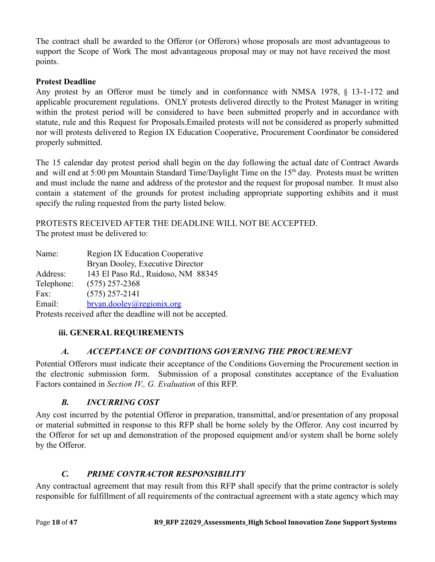The contract shall be awarded to the Offeror (or Offerors) whose proposals are most advantageous to support the Scope of Work The most advantageous proposal may or may not have received the most points.

### **Protest Deadline**

Any protest by an Offeror must be timely and in conformance with NMSA 1978, § 13-1-172 and applicable procurement regulations. ONLY protests delivered directly to the Protest Manager in writing within the protest period will be considered to have been submitted properly and in accordance with statute, rule and this Request for Proposals.Emailed protests will not be considered as properly submitted nor will protests delivered to Region IX Education Cooperative, Procurement Coordinator be considered properly submitted.

The 15 calendar day protest period shall begin on the day following the actual date of Contract Awards and will end at 5:00 pm Mountain Standard Time/Daylight Time on the 15<sup>th</sup> day. Protests must be written and must include the name and address of the protestor and the request for proposal number. It must also contain a statement of the grounds for protest including appropriate supporting exhibits and it must specify the ruling requested from the party listed below.

PROTESTS RECEIVED AFTER THE DEADLINE WILL NOT BE ACCEPTED. The protest must be delivered to:

| Name:                                                      | <b>Region IX Education Cooperative</b> |  |  |
|------------------------------------------------------------|----------------------------------------|--|--|
|                                                            | Bryan Dooley, Executive Director       |  |  |
| Address:                                                   | 143 El Paso Rd., Ruidoso, NM 88345     |  |  |
| Telephone:                                                 | $(575)$ 257-2368                       |  |  |
| Fax:                                                       | $(575)$ 257-2141                       |  |  |
| Email:                                                     | bryan.dooley@regionix.org              |  |  |
| Protests received after the deadline will not be accepted. |                                        |  |  |

## <span id="page-17-0"></span>**iii. GENERAL REQUIREMENTS**

## *A. ACCEPTANCE OF CONDITIONS GOVERNING THE PROCUREMENT*

<span id="page-17-1"></span>Potential Offerors must indicate their acceptance of the Conditions Governing the Procurement section in the electronic submission form. Submission of a proposal constitutes acceptance of the Evaluation Factors contained in *Section IV., G. Evaluation* of this RFP.

## *B. INCURRING COST*

<span id="page-17-2"></span>Any cost incurred by the potential Offeror in preparation, transmittal, and/or presentation of any proposal or material submitted in response to this RFP shall be borne solely by the Offeror. Any cost incurred by the Offeror for set up and demonstration of the proposed equipment and/or system shall be borne solely by the Offeror.

## *C. PRIME CONTRACTOR RESPONSIBILITY*

<span id="page-17-3"></span>Any contractual agreement that may result from this RFP shall specify that the prime contractor is solely responsible for fulfillment of all requirements of the contractual agreement with a state agency which may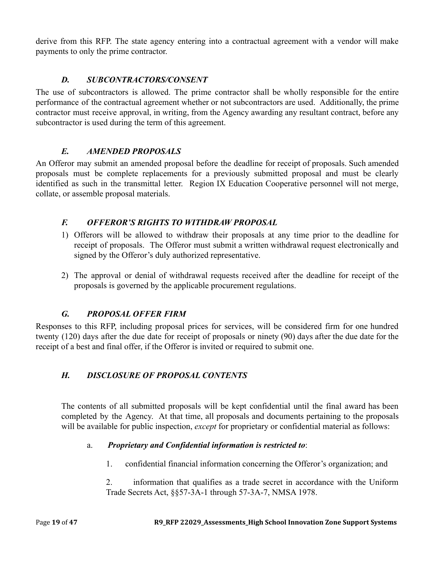derive from this RFP. The state agency entering into a contractual agreement with a vendor will make payments to only the prime contractor.

# *D. SUBCONTRACTORS/CONSENT*

<span id="page-18-0"></span>The use of subcontractors is allowed. The prime contractor shall be wholly responsible for the entire performance of the contractual agreement whether or not subcontractors are used. Additionally, the prime contractor must receive approval, in writing, from the Agency awarding any resultant contract, before any subcontractor is used during the term of this agreement.

### *E. AMENDED PROPOSALS*

<span id="page-18-1"></span>An Offeror may submit an amended proposal before the deadline for receipt of proposals. Such amended proposals must be complete replacements for a previously submitted proposal and must be clearly identified as such in the transmittal letter. Region IX Education Cooperative personnel will not merge, collate, or assemble proposal materials.

## <span id="page-18-2"></span>*F. OFFEROR'S RIGHTS TO WITHDRAW PROPOSAL*

- 1) Offerors will be allowed to withdraw their proposals at any time prior to the deadline for receipt of proposals. The Offeror must submit a written withdrawal request electronically and signed by the Offeror's duly authorized representative.
- 2) The approval or denial of withdrawal requests received after the deadline for receipt of the proposals is governed by the applicable procurement regulations.

## *G. PROPOSAL OFFER FIRM*

<span id="page-18-3"></span>Responses to this RFP, including proposal prices for services, will be considered firm for one hundred twenty (120) days after the due date for receipt of proposals or ninety (90) days after the due date for the receipt of a best and final offer, if the Offeror is invited or required to submit one.

## <span id="page-18-4"></span>*H. DISCLOSURE OF PROPOSAL CONTENTS*

The contents of all submitted proposals will be kept confidential until the final award has been completed by the Agency. At that time, all proposals and documents pertaining to the proposals will be available for public inspection, *except* for proprietary or confidential material as follows:

### a. *Proprietary and Confidential information is restricted to*:

- 1. confidential financial information concerning the Offeror's organization; and
- 2. information that qualifies as a trade secret in accordance with the Uniform Trade Secrets Act, §§57-3A-1 through 57-3A-7, NMSA 1978.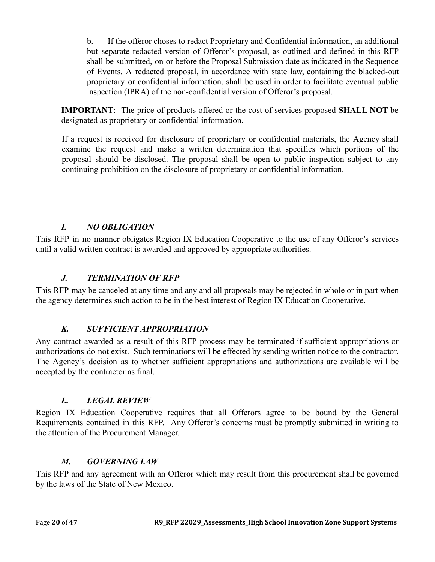b. If the offeror choses to redact Proprietary and Confidential information, an additional but separate redacted version of Offeror's proposal, as outlined and defined in this RFP shall be submitted, on or before the Proposal Submission date as indicated in the Sequence of Events. A redacted proposal, in accordance with state law, containing the blacked-out proprietary or confidential information, shall be used in order to facilitate eventual public inspection (IPRA) of the non-confidential version of Offeror's proposal.

**IMPORTANT**: The price of products offered or the cost of services proposed **SHALL NOT** be designated as proprietary or confidential information.

If a request is received for disclosure of proprietary or confidential materials, the Agency shall examine the request and make a written determination that specifies which portions of the proposal should be disclosed. The proposal shall be open to public inspection subject to any continuing prohibition on the disclosure of proprietary or confidential information.

## *I. NO OBLIGATION*

<span id="page-19-0"></span>This RFP in no manner obligates Region IX Education Cooperative to the use of any Offeror's services until a valid written contract is awarded and approved by appropriate authorities.

### *J. TERMINATION OF RFP*

<span id="page-19-1"></span>This RFP may be canceled at any time and any and all proposals may be rejected in whole or in part when the agency determines such action to be in the best interest of Region IX Education Cooperative.

### *K. SUFFICIENT APPROPRIATION*

<span id="page-19-2"></span>Any contract awarded as a result of this RFP process may be terminated if sufficient appropriations or authorizations do not exist. Such terminations will be effected by sending written notice to the contractor. The Agency's decision as to whether sufficient appropriations and authorizations are available will be accepted by the contractor as final.

### *L. LEGAL REVIEW*

<span id="page-19-3"></span>Region IX Education Cooperative requires that all Offerors agree to be bound by the General Requirements contained in this RFP. Any Offeror's concerns must be promptly submitted in writing to the attention of the Procurement Manager.

### *M. GOVERNING LAW*

<span id="page-19-4"></span>This RFP and any agreement with an Offeror which may result from this procurement shall be governed by the laws of the State of New Mexico.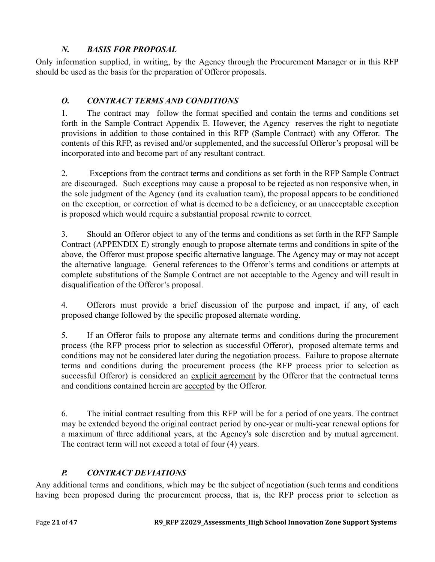# *N. BASIS FOR PROPOSAL*

<span id="page-20-0"></span>Only information supplied, in writing, by the Agency through the Procurement Manager or in this RFP should be used as the basis for the preparation of Offeror proposals.

# <span id="page-20-1"></span>*O. CONTRACT TERMS AND CONDITIONS*

1. The contract may follow the format specified and contain the terms and conditions set forth in the Sample Contract Appendix E. However, the Agency reserves the right to negotiate provisions in addition to those contained in this RFP (Sample Contract) with any Offeror. The contents of this RFP, as revised and/or supplemented, and the successful Offeror's proposal will be incorporated into and become part of any resultant contract.

2. Exceptions from the contract terms and conditions as set forth in the RFP Sample Contract are discouraged. Such exceptions may cause a proposal to be rejected as non responsive when, in the sole judgment of the Agency (and its evaluation team), the proposal appears to be conditioned on the exception, or correction of what is deemed to be a deficiency, or an unacceptable exception is proposed which would require a substantial proposal rewrite to correct.

3. Should an Offeror object to any of the terms and conditions as set forth in the RFP Sample Contract (APPENDIX E) strongly enough to propose alternate terms and conditions in spite of the above, the Offeror must propose specific alternative language. The Agency may or may not accept the alternative language. General references to the Offeror's terms and conditions or attempts at complete substitutions of the Sample Contract are not acceptable to the Agency and will result in disqualification of the Offeror's proposal.

4. Offerors must provide a brief discussion of the purpose and impact, if any, of each proposed change followed by the specific proposed alternate wording.

5. If an Offeror fails to propose any alternate terms and conditions during the procurement process (the RFP process prior to selection as successful Offeror), proposed alternate terms and conditions may not be considered later during the negotiation process. Failure to propose alternate terms and conditions during the procurement process (the RFP process prior to selection as successful Offeror) is considered an explicit agreement by the Offeror that the contractual terms and conditions contained herein are accepted by the Offeror.

6. The initial contract resulting from this RFP will be for a period of one years. The contract may be extended beyond the original contract period by one-year or multi-year renewal options for a maximum of three additional years, at the Agency's sole discretion and by mutual agreement. The contract term will not exceed a total of four (4) years.

# *P. CONTRACT DEVIATIONS*

<span id="page-20-2"></span>Any additional terms and conditions, which may be the subject of negotiation (such terms and conditions having been proposed during the procurement process, that is, the RFP process prior to selection as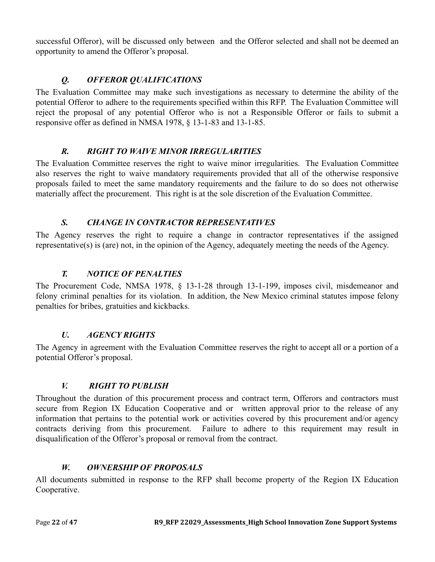successful Offeror), will be discussed only between and the Offeror selected and shall not be deemed an opportunity to amend the Offeror's proposal.

# *Q. OFFEROR QUALIFICATIONS*

<span id="page-21-0"></span>The Evaluation Committee may make such investigations as necessary to determine the ability of the potential Offeror to adhere to the requirements specified within this RFP. The Evaluation Committee will reject the proposal of any potential Offeror who is not a Responsible Offeror or fails to submit a responsive offer as defined in NMSA 1978, § 13-1-83 and 13-1-85.

# *R. RIGHT TO WAIVE MINOR IRREGULARITIES*

<span id="page-21-1"></span>The Evaluation Committee reserves the right to waive minor irregularities. The Evaluation Committee also reserves the right to waive mandatory requirements provided that all of the otherwise responsive proposals failed to meet the same mandatory requirements and the failure to do so does not otherwise materially affect the procurement. This right is at the sole discretion of the Evaluation Committee.

# *S. CHANGE IN CONTRACTOR REPRESENTATIVES*

<span id="page-21-2"></span>The Agency reserves the right to require a change in contractor representatives if the assigned representative(s) is (are) not, in the opinion of the Agency, adequately meeting the needs of the Agency.

# *T. NOTICE OF PENALTIES*

<span id="page-21-3"></span>The Procurement Code, NMSA 1978, § 13-1-28 through 13-1-199, imposes civil, misdemeanor and felony criminal penalties for its violation. In addition, the New Mexico criminal statutes impose felony penalties for bribes, gratuities and kickbacks.

# *U. AGENCY RIGHTS*

<span id="page-21-4"></span>The Agency in agreement with the Evaluation Committee reserves the right to accept all or a portion of a potential Offeror's proposal.

# *V. RIGHT TO PUBLISH*

<span id="page-21-5"></span>Throughout the duration of this procurement process and contract term, Offerors and contractors must secure from Region IX Education Cooperative and or written approval prior to the release of any information that pertains to the potential work or activities covered by this procurement and/or agency contracts deriving from this procurement. Failure to adhere to this requirement may result in disqualification of the Offeror's proposal or removal from the contract.

## *W. OWNERSHIP OF PROPOSALS*

<span id="page-21-6"></span>All documents submitted in response to the RFP shall become property of the Region IX Education Cooperative.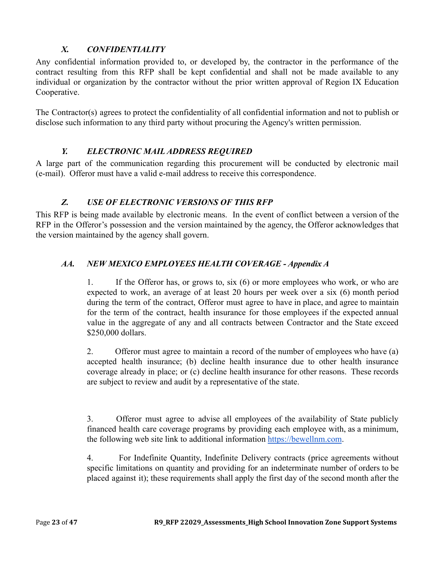# *X. CONFIDENTIALITY*

<span id="page-22-0"></span>Any confidential information provided to, or developed by, the contractor in the performance of the contract resulting from this RFP shall be kept confidential and shall not be made available to any individual or organization by the contractor without the prior written approval of Region IX Education Cooperative.

The Contractor(s) agrees to protect the confidentiality of all confidential information and not to publish or disclose such information to any third party without procuring the Agency's written permission.

## *Y. ELECTRONIC MAIL ADDRESS REQUIRED*

<span id="page-22-1"></span>A large part of the communication regarding this procurement will be conducted by electronic mail (e-mail). Offeror must have a valid e-mail address to receive this correspondence.

## *Z. USE OF ELECTRONIC VERSIONS OF THIS RFP*

<span id="page-22-2"></span>This RFP is being made available by electronic means. In the event of conflict between a version of the RFP in the Offeror's possession and the version maintained by the agency, the Offeror acknowledges that the version maintained by the agency shall govern.

## <span id="page-22-3"></span>*AA. NEW MEXICO EMPLOYEES HEALTH COVERAGE - Appendix A*

1. If the Offeror has, or grows to, six (6) or more employees who work, or who are expected to work, an average of at least 20 hours per week over a six (6) month period during the term of the contract, Offeror must agree to have in place, and agree to maintain for the term of the contract, health insurance for those employees if the expected annual value in the aggregate of any and all contracts between Contractor and the State exceed \$250,000 dollars.

2. Offeror must agree to maintain a record of the number of employees who have (a) accepted health insurance; (b) decline health insurance due to other health insurance coverage already in place; or (c) decline health insurance for other reasons. These records are subject to review and audit by a representative of the state.

3. Offeror must agree to advise all employees of the availability of State publicly financed health care coverage programs by providing each employee with, as a minimum, the following web site link to additional information [https://bewellnm.com](https://bewellnm.com/).

4. For Indefinite Quantity, Indefinite Delivery contracts (price agreements without specific limitations on quantity and providing for an indeterminate number of orders to be placed against it); these requirements shall apply the first day of the second month after the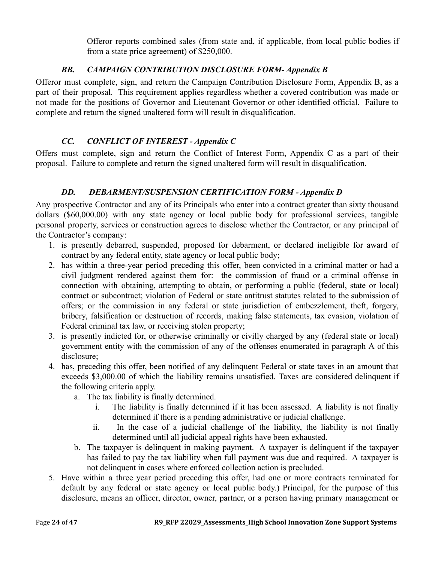Offeror reports combined sales (from state and, if applicable, from local public bodies if from a state price agreement) of \$250,000.

# *BB. CAMPAIGN CONTRIBUTION DISCLOSURE FORM- Appendix B*

<span id="page-23-0"></span>Offeror must complete, sign, and return the Campaign Contribution Disclosure Form, Appendix B, as a part of their proposal. This requirement applies regardless whether a covered contribution was made or not made for the positions of Governor and Lieutenant Governor or other identified official. Failure to complete and return the signed unaltered form will result in disqualification.

# *CC. CONFLICT OF INTEREST - Appendix C*

<span id="page-23-1"></span>Offers must complete, sign and return the Conflict of Interest Form, Appendix C as a part of their proposal. Failure to complete and return the signed unaltered form will result in disqualification.

# *DD. DEBARMENT/SUSPENSION CERTIFICATION FORM - Appendix D*

<span id="page-23-2"></span>Any prospective Contractor and any of its Principals who enter into a contract greater than sixty thousand dollars (\$60,000.00) with any state agency or local public body for professional services, tangible personal property, services or construction agrees to disclose whether the Contractor, or any principal of the Contractor's company:

- 1. is presently debarred, suspended, proposed for debarment, or declared ineligible for award of contract by any federal entity, state agency or local public body;
- 2. has within a three-year period preceding this offer, been convicted in a criminal matter or had a civil judgment rendered against them for: the commission of fraud or a criminal offense in connection with obtaining, attempting to obtain, or performing a public (federal, state or local) contract or subcontract; violation of Federal or state antitrust statutes related to the submission of offers; or the commission in any federal or state jurisdiction of embezzlement, theft, forgery, bribery, falsification or destruction of records, making false statements, tax evasion, violation of Federal criminal tax law, or receiving stolen property;
- 3. is presently indicted for, or otherwise criminally or civilly charged by any (federal state or local) government entity with the commission of any of the offenses enumerated in paragraph A of this disclosure;
- 4. has, preceding this offer, been notified of any delinquent Federal or state taxes in an amount that exceeds \$3,000.00 of which the liability remains unsatisfied. Taxes are considered delinquent if the following criteria apply.
	- a. The tax liability is finally determined.
		- i. The liability is finally determined if it has been assessed. A liability is not finally determined if there is a pending administrative or judicial challenge.
		- ii. In the case of a judicial challenge of the liability, the liability is not finally determined until all judicial appeal rights have been exhausted.
	- b. The taxpayer is delinquent in making payment. A taxpayer is delinquent if the taxpayer has failed to pay the tax liability when full payment was due and required. A taxpayer is not delinquent in cases where enforced collection action is precluded.
- 5. Have within a three year period preceding this offer, had one or more contracts terminated for default by any federal or state agency or local public body.) Principal, for the purpose of this disclosure, means an officer, director, owner, partner, or a person having primary management or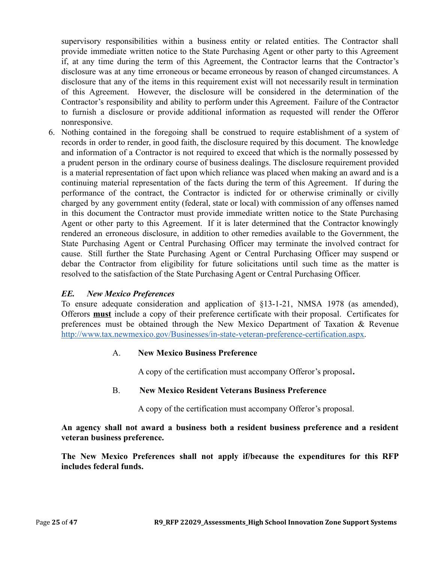supervisory responsibilities within a business entity or related entities. The Contractor shall provide immediate written notice to the State Purchasing Agent or other party to this Agreement if, at any time during the term of this Agreement, the Contractor learns that the Contractor's disclosure was at any time erroneous or became erroneous by reason of changed circumstances. A disclosure that any of the items in this requirement exist will not necessarily result in termination of this Agreement. However, the disclosure will be considered in the determination of the Contractor's responsibility and ability to perform under this Agreement. Failure of the Contractor to furnish a disclosure or provide additional information as requested will render the Offeror nonresponsive.

6. Nothing contained in the foregoing shall be construed to require establishment of a system of records in order to render, in good faith, the disclosure required by this document. The knowledge and information of a Contractor is not required to exceed that which is the normally possessed by a prudent person in the ordinary course of business dealings. The disclosure requirement provided is a material representation of fact upon which reliance was placed when making an award and is a continuing material representation of the facts during the term of this Agreement. If during the performance of the contract, the Contractor is indicted for or otherwise criminally or civilly charged by any government entity (federal, state or local) with commission of any offenses named in this document the Contractor must provide immediate written notice to the State Purchasing Agent or other party to this Agreement. If it is later determined that the Contractor knowingly rendered an erroneous disclosure, in addition to other remedies available to the Government, the State Purchasing Agent or Central Purchasing Officer may terminate the involved contract for cause. Still further the State Purchasing Agent or Central Purchasing Officer may suspend or debar the Contractor from eligibility for future solicitations until such time as the matter is resolved to the satisfaction of the State Purchasing Agent or Central Purchasing Officer.

### *EE. New Mexico Preferences*

To ensure adequate consideration and application of §13-1-21, NMSA 1978 (as amended), Offerors **must** include a copy of their preference certificate with their proposal. Certificates for preferences must be obtained through the New Mexico Department of Taxation & Revenu[e](http://www.tax.newmexico.gov/Businesses/in-state-veteran-preference-certification.aspx) [http://www.tax.newmexico.gov/Businesses/in-state-veteran-preference-certification.aspx.](http://www.tax.newmexico.gov/Businesses/in-state-veteran-preference-certification.aspx)

### A. **New Mexico Business Preference**

A copy of the certification must accompany Offeror's proposal**.**

### B. **New Mexico Resident Veterans Business Preference**

A copy of the certification must accompany Offeror's proposal.

**An agency shall not award a business both a resident business preference and a resident veteran business preference.**

**The New Mexico Preferences shall not apply if/because the expenditures for this RFP includes federal funds.**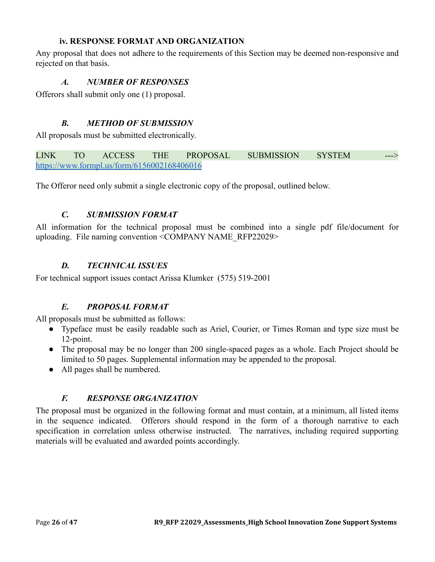### **iv. RESPONSE FORMAT AND ORGANIZATION**

<span id="page-25-1"></span><span id="page-25-0"></span>Any proposal that does not adhere to the requirements of this Section may be deemed non-responsive and rejected on that basis.

### *A. NUMBER OF RESPONSES*

<span id="page-25-2"></span>Offerors shall submit only one (1) proposal.

### *B. METHOD OF SUBMISSION*

All proposals must be submitted electronically.

LINK TO ACCESS THE PROPOSAL SUBMISSION SYSTEM <https://www.formpl.us/form/6156002168406016>

<span id="page-25-3"></span>The Offeror need only submit a single electronic copy of the proposal, outlined below.

### *C. SUBMISSION FORMAT*

All information for the technical proposal must be combined into a single pdf file/document for uploading. File naming convention <COMPANY NAME\_RFP22029>

### *D. TECHNICAL ISSUES*

<span id="page-25-5"></span><span id="page-25-4"></span>For technical support issues contact Arissa Klumker (575) 519-2001

### *E. PROPOSAL FORMAT*

All proposals must be submitted as follows:

- Typeface must be easily readable such as Ariel, Courier, or Times Roman and type size must be 12-point.
- The proposal may be no longer than 200 single-spaced pages as a whole. Each Project should be limited to 50 pages. Supplemental information may be appended to the proposal.
- All pages shall be numbered.

### *F. RESPONSE ORGANIZATION*

<span id="page-25-6"></span>The proposal must be organized in the following format and must contain, at a minimum, all listed items in the sequence indicated. Offerors should respond in the form of a thorough narrative to each specification in correlation unless otherwise instructed. The narratives, including required supporting materials will be evaluated and awarded points accordingly.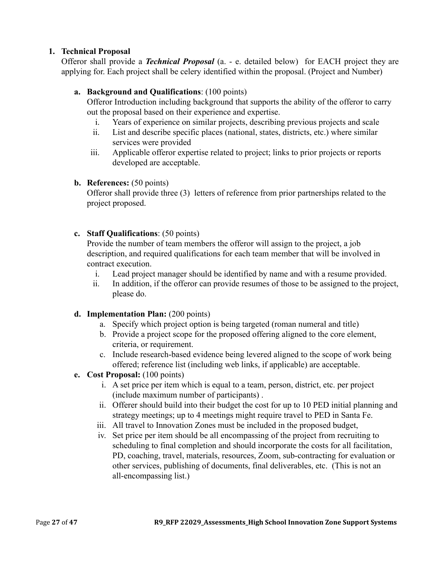### **1. Technical Proposal**

Offeror shall provide a *Technical Proposal* (a. - e. detailed below) for EACH project they are applying for. Each project shall be celery identified within the proposal. (Project and Number)

### **a. Background and Qualifications**: (100 points)

Offeror Introduction including background that supports the ability of the offeror to carry out the proposal based on their experience and expertise.

- i. Years of experience on similar projects, describing previous projects and scale
- ii. List and describe specific places (national, states, districts, etc.) where similar services were provided
- iii. Applicable offeror expertise related to project; links to prior projects or reports developed are acceptable.

### **b. References:** (50 points)

Offeror shall provide three (3) letters of reference from prior partnerships related to the project proposed.

### **c. Staff Qualifications**: (50 points)

Provide the number of team members the offeror will assign to the project, a job description, and required qualifications for each team member that will be involved in contract execution.

- i. Lead project manager should be identified by name and with a resume provided.
- ii. In addition, if the offeror can provide resumes of those to be assigned to the project, please do.

### **d. Implementation Plan:** (200 points)

- a. Specify which project option is being targeted (roman numeral and title)
- b. Provide a project scope for the proposed offering aligned to the core element, criteria, or requirement.
- c. Include research-based evidence being levered aligned to the scope of work being offered; reference list (including web links, if applicable) are acceptable.
- **e. Cost Proposal:** (100 points)
	- i. A set price per item which is equal to a team, person, district, etc. per project (include maximum number of participants) .
	- ii. Offerer should build into their budget the cost for up to 10 PED initial planning and strategy meetings; up to 4 meetings might require travel to PED in Santa Fe.
	- iii. All travel to Innovation Zones must be included in the proposed budget,
	- iv. Set price per item should be all encompassing of the project from recruiting to scheduling to final completion and should incorporate the costs for all facilitation, PD, coaching, travel, materials, resources, Zoom, sub-contracting for evaluation or other services, publishing of documents, final deliverables, etc. (This is not an all-encompassing list.)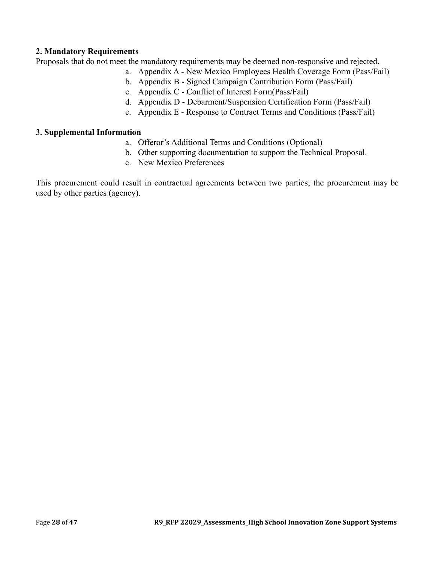#### **2. Mandatory Requirements**

Proposals that do not meet the mandatory requirements may be deemed non-responsive and rejected**.**

- a. Appendix A New Mexico Employees Health Coverage Form (Pass/Fail)
- b. Appendix B Signed Campaign Contribution Form (Pass/Fail)
- c. Appendix C Conflict of Interest Form(Pass/Fail)
- d. Appendix D Debarment/Suspension Certification Form (Pass/Fail)
- e. Appendix E Response to Contract Terms and Conditions (Pass/Fail)

#### **3. Supplemental Information**

- a. Offeror's Additional Terms and Conditions (Optional)
- b. Other supporting documentation to support the Technical Proposal.
- c. New Mexico Preferences

This procurement could result in contractual agreements between two parties; the procurement may be used by other parties (agency).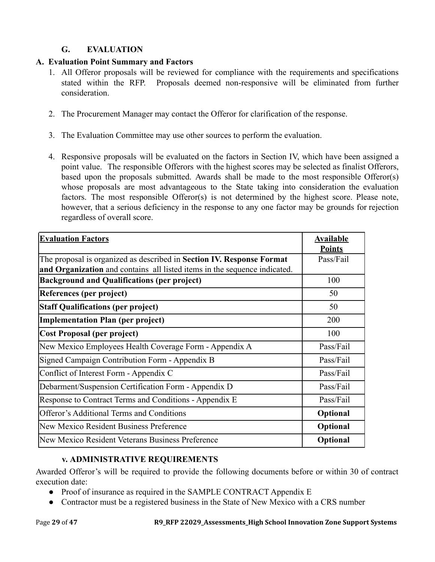## **G. EVALUATION**

## <span id="page-28-0"></span>**A. Evaluation Point Summary and Factors**

- 1. All Offeror proposals will be reviewed for compliance with the requirements and specifications stated within the RFP. Proposals deemed non-responsive will be eliminated from further consideration.
- 2. The Procurement Manager may contact the Offeror for clarification of the response.
- 3. The Evaluation Committee may use other sources to perform the evaluation.
- 4. Responsive proposals will be evaluated on the factors in Section IV, which have been assigned a point value. The responsible Offerors with the highest scores may be selected as finalist Offerors, based upon the proposals submitted. Awards shall be made to the most responsible Offeror(s) whose proposals are most advantageous to the State taking into consideration the evaluation factors. The most responsible Offeror(s) is not determined by the highest score. Please note, however, that a serious deficiency in the response to any one factor may be grounds for rejection regardless of overall score.

| <b>Evaluation Factors</b>                                                 | <b>Available</b><br><b>Points</b> |
|---------------------------------------------------------------------------|-----------------------------------|
| The proposal is organized as described in Section IV. Response Format     | Pass/Fail                         |
| and Organization and contains all listed items in the sequence indicated. |                                   |
| <b>Background and Qualifications (per project)</b>                        | 100                               |
| References (per project)                                                  | 50                                |
| <b>Staff Qualifications (per project)</b>                                 | 50                                |
| Implementation Plan (per project)                                         | 200                               |
| Cost Proposal (per project)                                               | 100                               |
| New Mexico Employees Health Coverage Form - Appendix A                    | Pass/Fail                         |
| Signed Campaign Contribution Form - Appendix B                            | Pass/Fail                         |
| Conflict of Interest Form - Appendix C                                    | Pass/Fail                         |
| Debarment/Suspension Certification Form - Appendix D                      | Pass/Fail                         |
| Response to Contract Terms and Conditions - Appendix E                    | Pass/Fail                         |
| <b>Offeror's Additional Terms and Conditions</b>                          | Optional                          |
| New Mexico Resident Business Preference                                   | Optional                          |
| New Mexico Resident Veterans Business Preference                          | Optional                          |

## **v. ADMINISTRATIVE REQUIREMENTS**

<span id="page-28-1"></span>Awarded Offeror's will be required to provide the following documents before or within 30 of contract execution date:

- Proof of insurance as required in the SAMPLE CONTRACT Appendix E
- Contractor must be a registered business in the State of New Mexico with a CRS number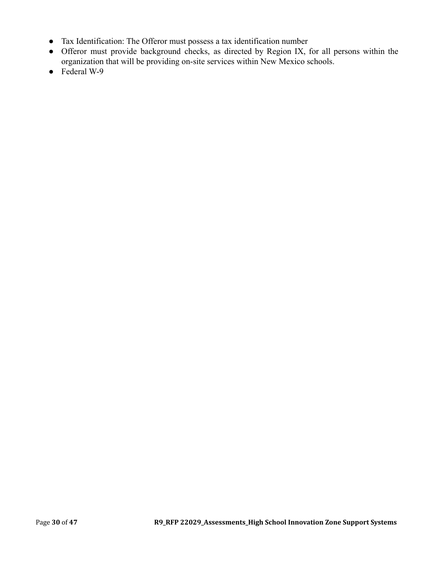- Tax Identification: The Offeror must possess a tax identification number
- Offeror must provide background checks, as directed by Region IX, for all persons within the organization that will be providing on-site services within New Mexico schools.
- Federal W-9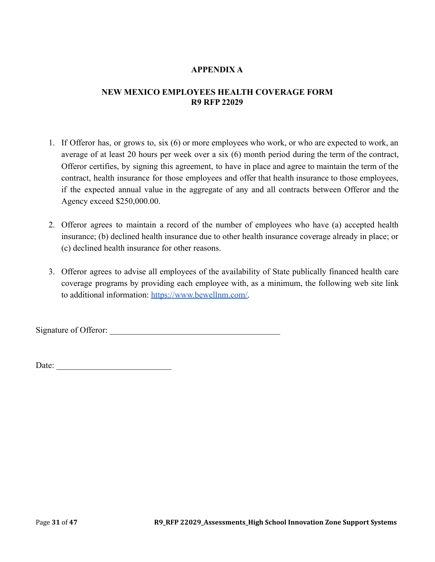### **APPENDIX A**

### <span id="page-30-0"></span>**NEW MEXICO EMPLOYEES HEALTH COVERAGE FORM R9 RFP 22029**

- 1. If Offeror has, or grows to, six (6) or more employees who work, or who are expected to work, an average of at least 20 hours per week over a six (6) month period during the term of the contract, Offeror certifies, by signing this agreement, to have in place and agree to maintain the term of the contract, health insurance for those employees and offer that health insurance to those employees, if the expected annual value in the aggregate of any and all contracts between Offeror and the Agency exceed \$250,000.00.
- 2. Offeror agrees to maintain a record of the number of employees who have (a) accepted health insurance; (b) declined health insurance due to other health insurance coverage already in place; or (c) declined health insurance for other reasons.
- 3. Offeror agrees to advise all employees of the availability of State publically financed health care coverage programs by providing each employee with, as a minimum, the following web site link to additional information: [https://www.bewellnm.com/.](https://www.bewellnm.com/)

Signature of Offeror: \_\_\_\_\_\_\_\_\_\_\_\_\_\_\_\_\_\_\_\_\_\_\_\_\_\_\_\_\_\_\_\_\_\_\_\_\_\_\_\_

Date:  $\frac{1}{2}$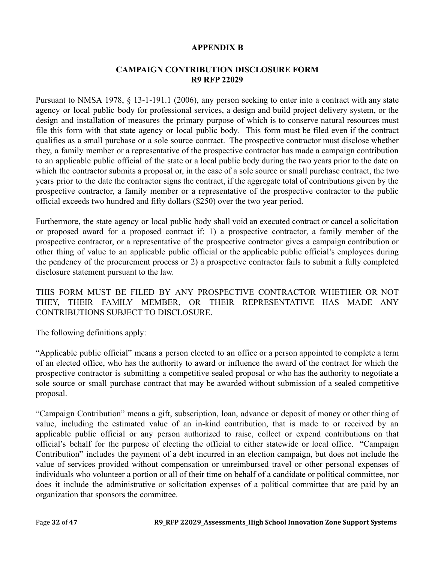#### **APPENDIX B**

#### **CAMPAIGN CONTRIBUTION DISCLOSURE FORM R9 RFP 22029**

<span id="page-31-0"></span>Pursuant to NMSA 1978, § 13-1-191.1 (2006), any person seeking to enter into a contract with any state agency or local public body for professional services, a design and build project delivery system, or the design and installation of measures the primary purpose of which is to conserve natural resources must file this form with that state agency or local public body. This form must be filed even if the contract qualifies as a small purchase or a sole source contract. The prospective contractor must disclose whether they, a family member or a representative of the prospective contractor has made a campaign contribution to an applicable public official of the state or a local public body during the two years prior to the date on which the contractor submits a proposal or, in the case of a sole source or small purchase contract, the two years prior to the date the contractor signs the contract, if the aggregate total of contributions given by the prospective contractor, a family member or a representative of the prospective contractor to the public official exceeds two hundred and fifty dollars (\$250) over the two year period.

Furthermore, the state agency or local public body shall void an executed contract or cancel a solicitation or proposed award for a proposed contract if: 1) a prospective contractor, a family member of the prospective contractor, or a representative of the prospective contractor gives a campaign contribution or other thing of value to an applicable public official or the applicable public official's employees during the pendency of the procurement process or 2) a prospective contractor fails to submit a fully completed disclosure statement pursuant to the law.

THIS FORM MUST BE FILED BY ANY PROSPECTIVE CONTRACTOR WHETHER OR NOT THEY, THEIR FAMILY MEMBER, OR THEIR REPRESENTATIVE HAS MADE ANY CONTRIBUTIONS SUBJECT TO DISCLOSURE.

The following definitions apply:

"Applicable public official" means a person elected to an office or a person appointed to complete a term of an elected office, who has the authority to award or influence the award of the contract for which the prospective contractor is submitting a competitive sealed proposal or who has the authority to negotiate a sole source or small purchase contract that may be awarded without submission of a sealed competitive proposal.

"Campaign Contribution" means a gift, subscription, loan, advance or deposit of money or other thing of value, including the estimated value of an in-kind contribution, that is made to or received by an applicable public official or any person authorized to raise, collect or expend contributions on that official's behalf for the purpose of electing the official to either statewide or local office. "Campaign Contribution" includes the payment of a debt incurred in an election campaign, but does not include the value of services provided without compensation or unreimbursed travel or other personal expenses of individuals who volunteer a portion or all of their time on behalf of a candidate or political committee, nor does it include the administrative or solicitation expenses of a political committee that are paid by an organization that sponsors the committee.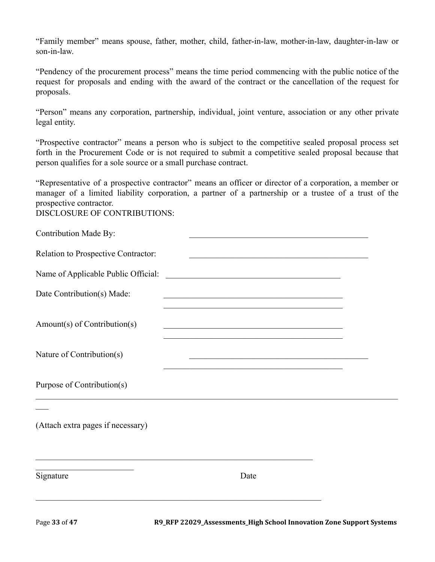"Family member" means spouse, father, mother, child, father-in-law, mother-in-law, daughter-in-law or son-in-law.

"Pendency of the procurement process" means the time period commencing with the public notice of the request for proposals and ending with the award of the contract or the cancellation of the request for proposals.

"Person" means any corporation, partnership, individual, joint venture, association or any other private legal entity.

"Prospective contractor" means a person who is subject to the competitive sealed proposal process set forth in the Procurement Code or is not required to submit a competitive sealed proposal because that person qualifies for a sole source or a small purchase contract.

"Representative of a prospective contractor" means an officer or director of a corporation, a member or manager of a limited liability corporation, a partner of a partnership or a trustee of a trust of the prospective contractor.

DISCLOSURE OF CONTRIBUTIONS:

| Contribution Made By:                                                                   | <u> 1989 - Johann John Stein, market fan it ferskearre fan it ferskearre fan it ferskearre fan it ferskearre fan i</u>                                   |  |
|-----------------------------------------------------------------------------------------|----------------------------------------------------------------------------------------------------------------------------------------------------------|--|
| Relation to Prospective Contractor:                                                     |                                                                                                                                                          |  |
| Name of Applicable Public Official:                                                     |                                                                                                                                                          |  |
| Date Contribution(s) Made:                                                              | <u> 1989 - Johann Stoff, amerikansk politiker (d. 1989)</u><br>the control of the control of the control of the control of the control of the control of |  |
| Amount(s) of Contribution(s)                                                            | <u> 1989 - Johann Stein, marwolaethau a bhannaich an t-an Aonaich an t-an Aonaich an t-an Aonaich an t-an Aonaich</u>                                    |  |
| Nature of Contribution(s)                                                               |                                                                                                                                                          |  |
| Purpose of Contribution(s)                                                              |                                                                                                                                                          |  |
| (Attach extra pages if necessary)                                                       |                                                                                                                                                          |  |
| the control of the control of the control of the control of the control of<br>Signature | Date                                                                                                                                                     |  |
|                                                                                         |                                                                                                                                                          |  |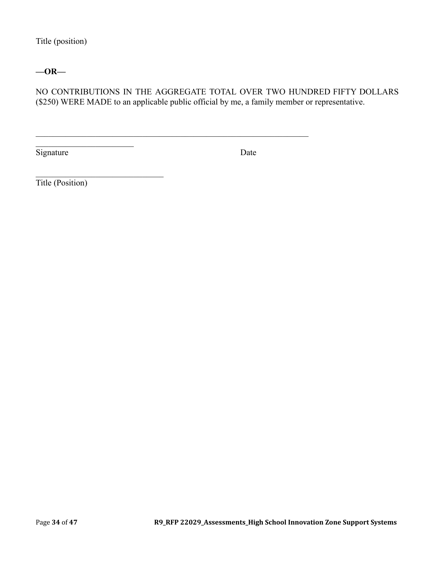Title (position)

### **—OR—**

NO CONTRIBUTIONS IN THE AGGREGATE TOTAL OVER TWO HUNDRED FIFTY DOLLARS (\$250) WERE MADE to an applicable public official by me, a family member or representative.

 $\mathcal{L}_\mathcal{L} = \{ \mathcal{L}_\mathcal{L} = \{ \mathcal{L}_\mathcal{L} = \{ \mathcal{L}_\mathcal{L} = \{ \mathcal{L}_\mathcal{L} = \{ \mathcal{L}_\mathcal{L} = \{ \mathcal{L}_\mathcal{L} = \{ \mathcal{L}_\mathcal{L} = \{ \mathcal{L}_\mathcal{L} = \{ \mathcal{L}_\mathcal{L} = \{ \mathcal{L}_\mathcal{L} = \{ \mathcal{L}_\mathcal{L} = \{ \mathcal{L}_\mathcal{L} = \{ \mathcal{L}_\mathcal{L} = \{ \mathcal{L}_\mathcal{$ 

Signature Date

Title (Position)

\_\_\_\_\_\_\_\_\_\_\_\_\_\_\_\_\_\_\_\_\_\_\_

 $\mathcal{L}_\text{max}$  , where  $\mathcal{L}_\text{max}$  and  $\mathcal{L}_\text{max}$  and  $\mathcal{L}_\text{max}$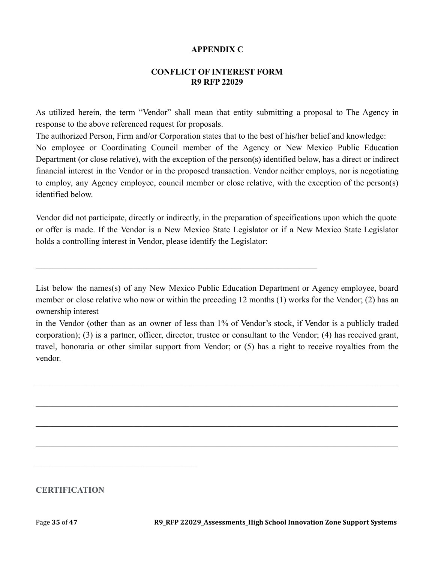#### **APPENDIX C**

#### **CONFLICT OF INTEREST FORM R9 RFP 22029**

<span id="page-34-0"></span>As utilized herein, the term "Vendor" shall mean that entity submitting a proposal to The Agency in response to the above referenced request for proposals.

The authorized Person, Firm and/or Corporation states that to the best of his/her belief and knowledge: No employee or Coordinating Council member of the Agency or New Mexico Public Education Department (or close relative), with the exception of the person(s) identified below, has a direct or indirect financial interest in the Vendor or in the proposed transaction. Vendor neither employs, nor is negotiating to employ, any Agency employee, council member or close relative, with the exception of the person(s) identified below.

Vendor did not participate, directly or indirectly, in the preparation of specifications upon which the quote or offer is made. If the Vendor is a New Mexico State Legislator or if a New Mexico State Legislator holds a controlling interest in Vendor, please identify the Legislator:

 $\mathcal{L}_\mathcal{L} = \{ \mathcal{L}_\mathcal{L} = \{ \mathcal{L}_\mathcal{L} = \{ \mathcal{L}_\mathcal{L} = \{ \mathcal{L}_\mathcal{L} = \{ \mathcal{L}_\mathcal{L} = \{ \mathcal{L}_\mathcal{L} = \{ \mathcal{L}_\mathcal{L} = \{ \mathcal{L}_\mathcal{L} = \{ \mathcal{L}_\mathcal{L} = \{ \mathcal{L}_\mathcal{L} = \{ \mathcal{L}_\mathcal{L} = \{ \mathcal{L}_\mathcal{L} = \{ \mathcal{L}_\mathcal{L} = \{ \mathcal{L}_\mathcal{$ 

List below the names(s) of any New Mexico Public Education Department or Agency employee, board member or close relative who now or within the preceding 12 months (1) works for the Vendor; (2) has an ownership interest

in the Vendor (other than as an owner of less than 1% of Vendor's stock, if Vendor is a publicly traded corporation); (3) is a partner, officer, director, trustee or consultant to the Vendor; (4) has received grant, travel, honoraria or other similar support from Vendor; or (5) has a right to receive royalties from the vendor.

 $\_$  , and the contribution of the contribution of the contribution of the contribution of  $\mathcal{L}_\text{max}$ 

 $\_$  , and the contribution of the contribution of the contribution of the contribution of  $\mathcal{L}_\text{max}$ 

 $\_$  , and the contribution of the contribution of the contribution of the contribution of  $\mathcal{L}_\text{max}$ 

 $\_$  , and the contribution of the contribution of the contribution of the contribution of  $\mathcal{L}_\text{max}$ 

**CERTIFICATION**

 $\mathcal{L}_\text{max}$  and  $\mathcal{L}_\text{max}$  and  $\mathcal{L}_\text{max}$  and  $\mathcal{L}_\text{max}$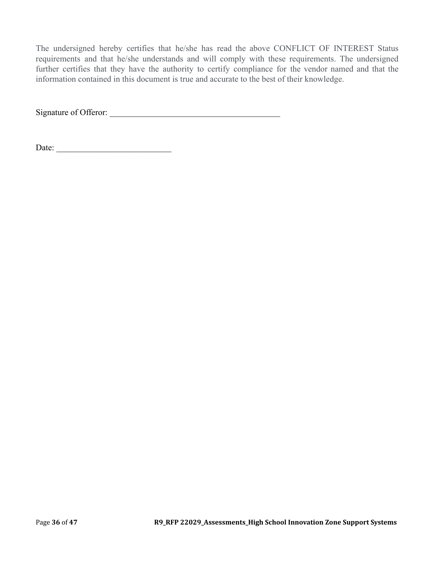The undersigned hereby certifies that he/she has read the above CONFLICT OF INTEREST Status requirements and that he/she understands and will comply with these requirements. The undersigned further certifies that they have the authority to certify compliance for the vendor named and that the information contained in this document is true and accurate to the best of their knowledge.

Signature of Offeror: \_\_\_\_\_\_\_\_\_\_\_\_\_\_\_\_\_\_\_\_\_\_\_\_\_\_\_\_\_\_\_\_\_\_\_\_\_\_\_\_

Date: \_\_\_\_\_\_\_\_\_\_\_\_\_\_\_\_\_\_\_\_\_\_\_\_\_\_\_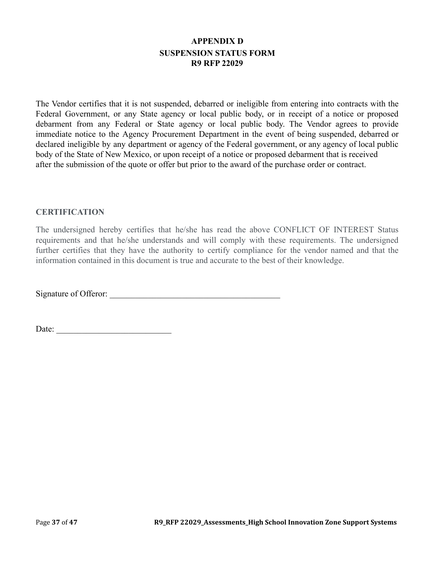## **APPENDIX D SUSPENSION STATUS FORM R9 RFP 22029**

<span id="page-36-0"></span>The Vendor certifies that it is not suspended, debarred or ineligible from entering into contracts with the Federal Government, or any State agency or local public body, or in receipt of a notice or proposed debarment from any Federal or State agency or local public body. The Vendor agrees to provide immediate notice to the Agency Procurement Department in the event of being suspended, debarred or declared ineligible by any department or agency of the Federal government, or any agency of local public body of the State of New Mexico, or upon receipt of a notice or proposed debarment that is received after the submission of the quote or offer but prior to the award of the purchase order or contract.

#### **CERTIFICATION**

The undersigned hereby certifies that he/she has read the above CONFLICT OF INTEREST Status requirements and that he/she understands and will comply with these requirements. The undersigned further certifies that they have the authority to certify compliance for the vendor named and that the information contained in this document is true and accurate to the best of their knowledge.

Signature of Offeror: \_\_\_\_\_\_\_\_\_\_\_\_\_\_\_\_\_\_\_\_\_\_\_\_\_\_\_\_\_\_\_\_\_\_\_\_\_\_\_\_

Date: \_\_\_\_\_\_\_\_\_\_\_\_\_\_\_\_\_\_\_\_\_\_\_\_\_\_\_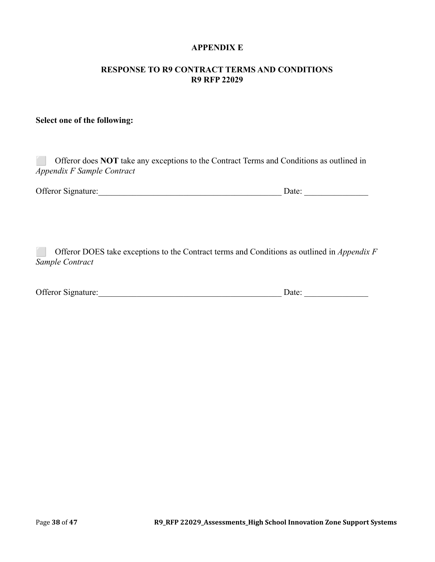#### **APPENDIX E**

#### <span id="page-37-0"></span>**RESPONSE TO R9 CONTRACT TERMS AND CONDITIONS R9 RFP 22029**

#### **Select one of the following:**

| Offeror does <b>NOT</b> take any exceptions to the Contract Terms and Conditions as outlined in |       |
|-------------------------------------------------------------------------------------------------|-------|
| <i>Appendix F Sample Contract</i>                                                               |       |
|                                                                                                 |       |
| <b>Offeror Signature:</b>                                                                       | Date: |

⬜ Offeror DOES take exceptions to the Contract terms and Conditions as outlined in *Appendix F Sample Contract*

| Offeror Signature: | )ate |  |
|--------------------|------|--|
|                    |      |  |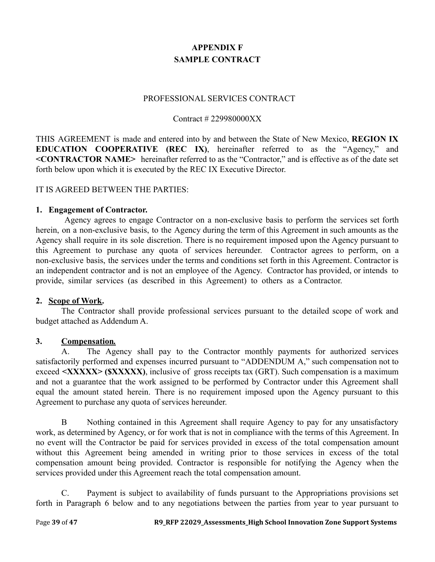# **APPENDIX F SAMPLE CONTRACT**

#### PROFESSIONAL SERVICES CONTRACT

#### Contract # 229980000XX

<span id="page-38-0"></span>THIS AGREEMENT is made and entered into by and between the State of New Mexico, **REGION IX EDUCATION COOPERATIVE (REC IX)**, hereinafter referred to as the "Agency," and **<CONTRACTOR NAME>** hereinafter referred to as the "Contractor," and is effective as of the date set forth below upon which it is executed by the REC IX Executive Director.

#### IT IS AGREED BETWEEN THE PARTIES:

#### **1. Engagement of Contractor.**

Agency agrees to engage Contractor on a non-exclusive basis to perform the services set forth herein, on a non-exclusive basis, to the Agency during the term of this Agreement in such amounts as the Agency shall require in its sole discretion. There is no requirement imposed upon the Agency pursuant to this Agreement to purchase any quota of services hereunder. Contractor agrees to perform, on a non-exclusive basis, the services under the terms and conditions set forth in this Agreement. Contractor is an independent contractor and is not an employee of the Agency. Contractor has provided, or intends to provide, similar services (as described in this Agreement) to others as a Contractor.

#### **2. Scope of Work.**

The Contractor shall provide professional services pursuant to the detailed scope of work and budget attached as Addendum A.

### **3. Compensation***.*

A. The Agency shall pay to the Contractor monthly payments for authorized services satisfactorily performed and expenses incurred pursuant to "ADDENDUM A," such compensation not to exceed **<XXXXX> (\$XXXXX)**, inclusive of gross receipts tax (GRT). Such compensation is a maximum and not a guarantee that the work assigned to be performed by Contractor under this Agreement shall equal the amount stated herein. There is no requirement imposed upon the Agency pursuant to this Agreement to purchase any quota of services hereunder.

B Nothing contained in this Agreement shall require Agency to pay for any unsatisfactory work, as determined by Agency, or for work that is not in compliance with the terms of this Agreement. In no event will the Contractor be paid for services provided in excess of the total compensation amount without this Agreement being amended in writing prior to those services in excess of the total compensation amount being provided. Contractor is responsible for notifying the Agency when the services provided under this Agreement reach the total compensation amount.

C. Payment is subject to availability of funds pursuant to the Appropriations provisions set forth in Paragraph 6 below and to any negotiations between the parties from year to year pursuant to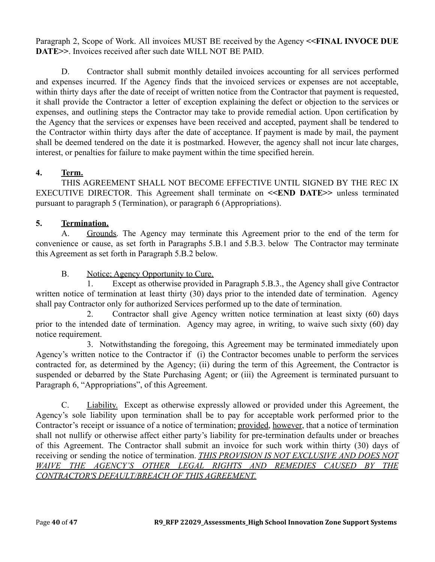Paragraph 2, Scope of Work. All invoices MUST BE received by the Agency **<<FINAL INVOCE DUE DATE>>**. Invoices received after such date WILL NOT BE PAID.

D. Contractor shall submit monthly detailed invoices accounting for all services performed and expenses incurred. If the Agency finds that the invoiced services or expenses are not acceptable, within thirty days after the date of receipt of written notice from the Contractor that payment is requested, it shall provide the Contractor a letter of exception explaining the defect or objection to the services or expenses, and outlining steps the Contractor may take to provide remedial action. Upon certification by the Agency that the services or expenses have been received and accepted, payment shall be tendered to the Contractor within thirty days after the date of acceptance. If payment is made by mail, the payment shall be deemed tendered on the date it is postmarked. However, the agency shall not incur late charges, interest, or penalties for failure to make payment within the time specified herein.

## **4. Term.**

THIS AGREEMENT SHALL NOT BECOME EFFECTIVE UNTIL SIGNED BY THE REC IX EXECUTIVE DIRECTOR. This Agreement shall terminate on **<<END DATE>>** unless terminated pursuant to paragraph 5 (Termination), or paragraph 6 (Appropriations).

# **5. Termination.**

A. Grounds. The Agency may terminate this Agreement prior to the end of the term for convenience or cause, as set forth in Paragraphs 5.B.1 and 5.B.3. below The Contractor may terminate this Agreement as set forth in Paragraph 5.B.2 below.

# B. Notice: Agency Opportunity to Cure.

1. Except as otherwise provided in Paragraph 5.B.3., the Agency shall give Contractor written notice of termination at least thirty (30) days prior to the intended date of termination. Agency shall pay Contractor only for authorized Services performed up to the date of termination.

2. Contractor shall give Agency written notice termination at least sixty (60) days prior to the intended date of termination. Agency may agree, in writing, to waive such sixty (60) day notice requirement.

3. Notwithstanding the foregoing, this Agreement may be terminated immediately upon Agency's written notice to the Contractor if (i) the Contractor becomes unable to perform the services contracted for, as determined by the Agency; (ii) during the term of this Agreement, the Contractor is suspended or debarred by the State Purchasing Agent; or (iii) the Agreement is terminated pursuant to Paragraph 6, "Appropriations", of this Agreement.

C. Liability. Except as otherwise expressly allowed or provided under this Agreement, the Agency's sole liability upon termination shall be to pay for acceptable work performed prior to the Contractor's receipt or issuance of a notice of termination; provided, however, that a notice of termination shall not nullify or otherwise affect either party's liability for pre-termination defaults under or breaches of this Agreement. The Contractor shall submit an invoice for such work within thirty (30) days of receiving or sending the notice of termination. *THIS PROVISION IS NOT EXCLUSIVE AND DOES NOT WAIVE THE AGENCY'S OTHER LEGAL RIGHTS AND REMEDIES CAUSED BY THE CONTRACTOR'S DEFAULT/BREACH OF THIS AGREEMENT.*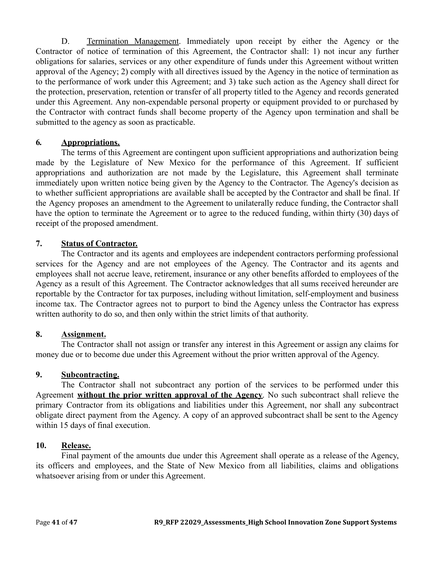D. Termination Management. Immediately upon receipt by either the Agency or the Contractor of notice of termination of this Agreement, the Contractor shall: 1) not incur any further obligations for salaries, services or any other expenditure of funds under this Agreement without written approval of the Agency; 2) comply with all directives issued by the Agency in the notice of termination as to the performance of work under this Agreement; and 3) take such action as the Agency shall direct for the protection, preservation, retention or transfer of all property titled to the Agency and records generated under this Agreement. Any non-expendable personal property or equipment provided to or purchased by the Contractor with contract funds shall become property of the Agency upon termination and shall be submitted to the agency as soon as practicable.

### **6***.* **Appropriations.**

The terms of this Agreement are contingent upon sufficient appropriations and authorization being made by the Legislature of New Mexico for the performance of this Agreement. If sufficient appropriations and authorization are not made by the Legislature, this Agreement shall terminate immediately upon written notice being given by the Agency to the Contractor. The Agency's decision as to whether sufficient appropriations are available shall be accepted by the Contractor and shall be final. If the Agency proposes an amendment to the Agreement to unilaterally reduce funding, the Contractor shall have the option to terminate the Agreement or to agree to the reduced funding, within thirty (30) days of receipt of the proposed amendment.

### **7. Status of Contractor.**

The Contractor and its agents and employees are independent contractors performing professional services for the Agency and are not employees of the Agency. The Contractor and its agents and employees shall not accrue leave, retirement, insurance or any other benefits afforded to employees of the Agency as a result of this Agreement. The Contractor acknowledges that all sums received hereunder are reportable by the Contractor for tax purposes, including without limitation, self-employment and business income tax. The Contractor agrees not to purport to bind the Agency unless the Contractor has express written authority to do so, and then only within the strict limits of that authority.

### **8. Assignment.**

The Contractor shall not assign or transfer any interest in this Agreement or assign any claims for money due or to become due under this Agreement without the prior written approval of the Agency.

### **9. Subcontracting.**

The Contractor shall not subcontract any portion of the services to be performed under this Agreement **without the prior written approval of the Agency**. No such subcontract shall relieve the primary Contractor from its obligations and liabilities under this Agreement, nor shall any subcontract obligate direct payment from the Agency. A copy of an approved subcontract shall be sent to the Agency within 15 days of final execution.

### **10. Release.**

Final payment of the amounts due under this Agreement shall operate as a release of the Agency, its officers and employees, and the State of New Mexico from all liabilities, claims and obligations whatsoever arising from or under this Agreement.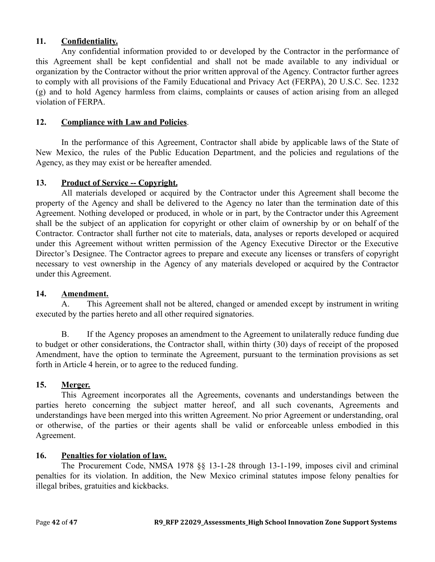### **11. Confidentiality.**

Any confidential information provided to or developed by the Contractor in the performance of this Agreement shall be kept confidential and shall not be made available to any individual or organization by the Contractor without the prior written approval of the Agency. Contractor further agrees to comply with all provisions of the Family Educational and Privacy Act (FERPA), 20 U.S.C. Sec. 1232 (g) and to hold Agency harmless from claims, complaints or causes of action arising from an alleged violation of FERPA.

#### **12. Compliance with Law and Policies**.

In the performance of this Agreement, Contractor shall abide by applicable laws of the State of New Mexico, the rules of the Public Education Department, and the policies and regulations of the Agency, as they may exist or be hereafter amended.

#### 13. **Product of Service -- Copyright.**

All materials developed or acquired by the Contractor under this Agreement shall become the property of the Agency and shall be delivered to the Agency no later than the termination date of this Agreement. Nothing developed or produced, in whole or in part, by the Contractor under this Agreement shall be the subject of an application for copyright or other claim of ownership by or on behalf of the Contractor. Contractor shall further not cite to materials, data, analyses or reports developed or acquired under this Agreement without written permission of the Agency Executive Director or the Executive Director's Designee. The Contractor agrees to prepare and execute any licenses or transfers of copyright necessary to vest ownership in the Agency of any materials developed or acquired by the Contractor under this Agreement.

#### **14. Amendment.**

A. This Agreement shall not be altered, changed or amended except by instrument in writing executed by the parties hereto and all other required signatories.

B. If the Agency proposes an amendment to the Agreement to unilaterally reduce funding due to budget or other considerations, the Contractor shall, within thirty (30) days of receipt of the proposed Amendment, have the option to terminate the Agreement, pursuant to the termination provisions as set forth in Article 4 herein, or to agree to the reduced funding.

### **15. Merger.**

This Agreement incorporates all the Agreements, covenants and understandings between the parties hereto concerning the subject matter hereof, and all such covenants, Agreements and understandings have been merged into this written Agreement. No prior Agreement or understanding, oral or otherwise, of the parties or their agents shall be valid or enforceable unless embodied in this Agreement.

### **16. Penalties for violation of law.**

The Procurement Code, NMSA 1978 §§ 13-1-28 through 13-1-199, imposes civil and criminal penalties for its violation. In addition, the New Mexico criminal statutes impose felony penalties for illegal bribes, gratuities and kickbacks.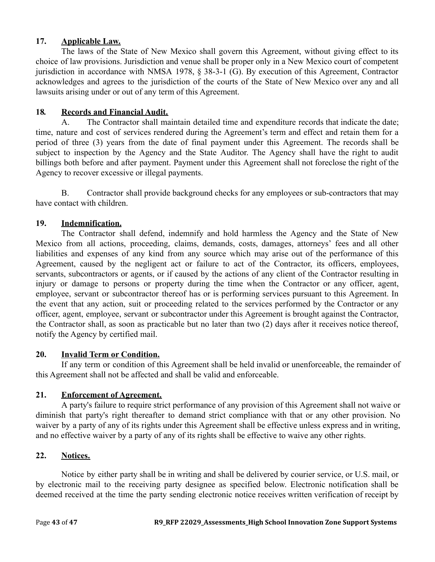### **17. Applicable Law.**

The laws of the State of New Mexico shall govern this Agreement, without giving effect to its choice of law provisions. Jurisdiction and venue shall be proper only in a New Mexico court of competent jurisdiction in accordance with NMSA 1978, § 38-3-1 (G). By execution of this Agreement, Contractor acknowledges and agrees to the jurisdiction of the courts of the State of New Mexico over any and all lawsuits arising under or out of any term of this Agreement.

#### **18***.* **Records and Financial Audit.**

A. The Contractor shall maintain detailed time and expenditure records that indicate the date; time, nature and cost of services rendered during the Agreement's term and effect and retain them for a period of three (3) years from the date of final payment under this Agreement. The records shall be subject to inspection by the Agency and the State Auditor. The Agency shall have the right to audit billings both before and after payment. Payment under this Agreement shall not foreclose the right of the Agency to recover excessive or illegal payments.

B. Contractor shall provide background checks for any employees or sub-contractors that may have contact with children.

### **19. Indemnification.**

The Contractor shall defend, indemnify and hold harmless the Agency and the State of New Mexico from all actions, proceeding, claims, demands, costs, damages, attorneys' fees and all other liabilities and expenses of any kind from any source which may arise out of the performance of this Agreement, caused by the negligent act or failure to act of the Contractor, its officers, employees, servants, subcontractors or agents, or if caused by the actions of any client of the Contractor resulting in injury or damage to persons or property during the time when the Contractor or any officer, agent, employee, servant or subcontractor thereof has or is performing services pursuant to this Agreement. In the event that any action, suit or proceeding related to the services performed by the Contractor or any officer, agent, employee, servant or subcontractor under this Agreement is brought against the Contractor, the Contractor shall, as soon as practicable but no later than two (2) days after it receives notice thereof, notify the Agency by certified mail.

### **20. Invalid Term or Condition.**

If any term or condition of this Agreement shall be held invalid or unenforceable, the remainder of this Agreement shall not be affected and shall be valid and enforceable.

### **21. Enforcement of Agreement.**

A party's failure to require strict performance of any provision of this Agreement shall not waive or diminish that party's right thereafter to demand strict compliance with that or any other provision. No waiver by a party of any of its rights under this Agreement shall be effective unless express and in writing, and no effective waiver by a party of any of its rights shall be effective to waive any other rights.

#### **22. Notices.**

Notice by either party shall be in writing and shall be delivered by courier service, or U.S. mail, or by electronic mail to the receiving party designee as specified below. Electronic notification shall be deemed received at the time the party sending electronic notice receives written verification of receipt by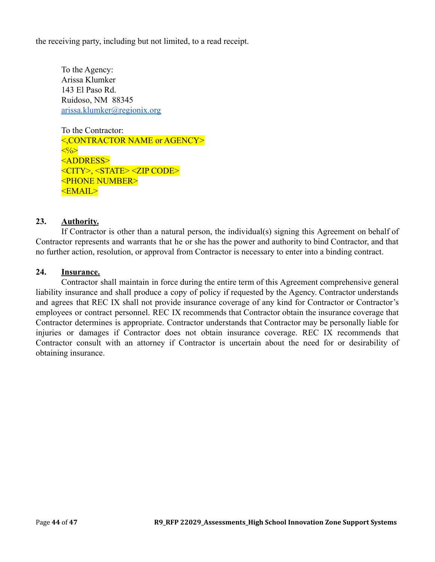the receiving party, including but not limited, to a read receipt.

To the Agency: Arissa Klumker 143 El Paso Rd. Ruidoso, NM 88345 [arissa.klumker@regionix.org](mailto:arissa.klumker@regionix.org)

To the Contractor: <,CONTRACTOR NAME or AGENCY>  $\langle\langle\cdot\rangle\langle\rangle\rangle$ <ADDRESS> <CITY>, <STATE> <ZIP CODE> <PHONE NUMBER> <EMAIL>

#### **23. Authority.**

If Contractor is other than a natural person, the individual(s) signing this Agreement on behalf of Contractor represents and warrants that he or she has the power and authority to bind Contractor, and that no further action, resolution, or approval from Contractor is necessary to enter into a binding contract.

#### **24. Insurance.**

Contractor shall maintain in force during the entire term of this Agreement comprehensive general liability insurance and shall produce a copy of policy if requested by the Agency. Contractor understands and agrees that REC IX shall not provide insurance coverage of any kind for Contractor or Contractor's employees or contract personnel. REC IX recommends that Contractor obtain the insurance coverage that Contractor determines is appropriate. Contractor understands that Contractor may be personally liable for injuries or damages if Contractor does not obtain insurance coverage. REC IX recommends that Contractor consult with an attorney if Contractor is uncertain about the need for or desirability of obtaining insurance.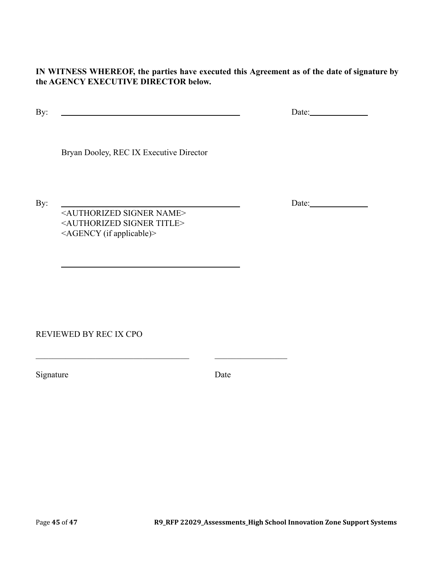**IN WITNESS WHEREOF, the parties have executed this Agreement as of the date of signature by the AGENCY EXECUTIVE DIRECTOR below.**

By: Date:

Bryan Dooley, REC IX Executive Director

By: Date: Date: <AUTHORIZED SIGNER NAME> <AUTHORIZED SIGNER TITLE> <AGENCY (if applicable)>

 $\_$  , and the set of the set of the set of the set of the set of the set of the set of the set of the set of the set of the set of the set of the set of the set of the set of the set of the set of the set of the set of th

REVIEWED BY REC IX CPO

Signature Date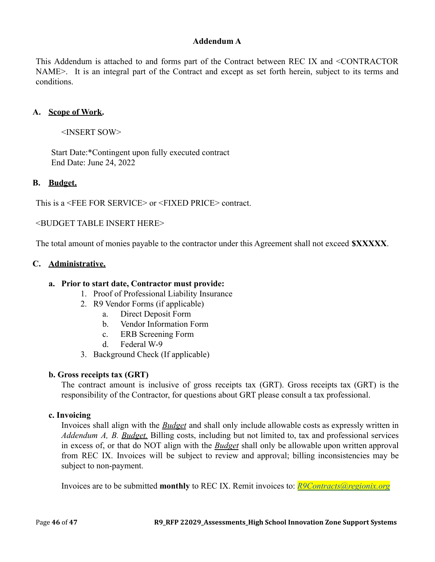### **Addendum A**

This Addendum is attached to and forms part of the Contract between REC IX and <CONTRACTOR NAME>. It is an integral part of the Contract and except as set forth herein, subject to its terms and conditions.

#### **A. Scope of Work.**

<INSERT SOW>

Start Date:\*Contingent upon fully executed contract End Date: June 24, 2022

#### **B. Budget.**

This is a <FEE FOR SERVICE> or <FIXED PRICE> contract.

<BUDGET TABLE INSERT HERE>

The total amount of monies payable to the contractor under this Agreement shall not exceed **\$XXXXX**.

#### **C. Administrative.**

#### **a. Prior to start date, Contractor must provide:**

- 1. Proof of Professional Liability Insurance
- 2. R9 Vendor Forms (if applicable)
	- a. Direct Deposit Form
	- b. Vendor Information Form
	- c. ERB Screening Form
	- d. Federal W-9
- 3. Background Check (If applicable)

#### **b. Gross receipts tax (GRT)**

The contract amount is inclusive of gross receipts tax (GRT). Gross receipts tax (GRT) is the responsibility of the Contractor, for questions about GRT please consult a tax professional.

#### **c. Invoicing**

Invoices shall align with the *Budget* and shall only include allowable costs as expressly written in *Addendum A, B. Budget.* Billing costs, including but not limited to, tax and professional services in excess of, or that do NOT align with the *Budget* shall only be allowable upon written approval from REC IX. Invoices will be subject to review and approval; billing inconsistencies may be subject to non-payment.

Invoices are to be submitted **monthly** to REC IX. Remit invoices to: *[R9Contracts@regionix.org](mailto:R9Contracts@regionix.org)*